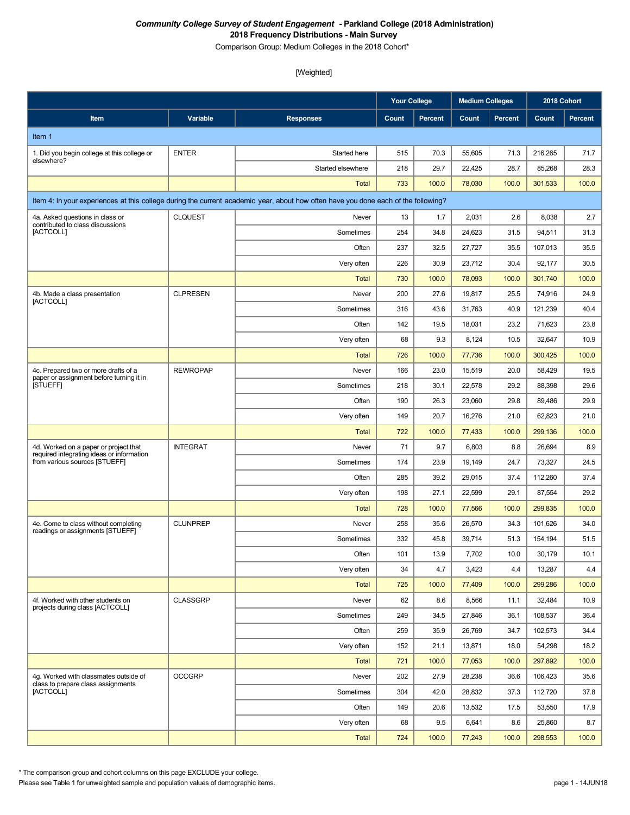Comparison Group: Medium Colleges in the 2018 Cohort\*

# [Weighted]

|                                                                                    |                 |                                                                                                                                    | <b>Your College</b> |                | <b>Medium Colleges</b> |                | 2018 Cohort |         |
|------------------------------------------------------------------------------------|-----------------|------------------------------------------------------------------------------------------------------------------------------------|---------------------|----------------|------------------------|----------------|-------------|---------|
| Item                                                                               | <b>Variable</b> | <b>Responses</b>                                                                                                                   | Count               | <b>Percent</b> | Count                  | <b>Percent</b> | Count       | Percent |
| Item 1                                                                             |                 |                                                                                                                                    |                     |                |                        |                |             |         |
| 1. Did you begin college at this college or                                        | <b>ENTER</b>    | Started here                                                                                                                       | 515                 | 70.3           | 55,605                 | 71.3           | 216,265     | 71.7    |
| elsewhere?                                                                         |                 | Started elsewhere                                                                                                                  | 218                 | 29.7           | 22,425                 | 28.7           | 85,268      | 28.3    |
|                                                                                    |                 | Total                                                                                                                              | 733                 | 100.0          | 78,030                 | 100.0          | 301,533     | 100.0   |
|                                                                                    |                 | Item 4: In your experiences at this college during the current academic year, about how often have you done each of the following? |                     |                |                        |                |             |         |
| 4a. Asked questions in class or                                                    | <b>CLQUEST</b>  | Never                                                                                                                              | 13                  | 1.7            | 2,031                  | 2.6            | 8,038       | 2.7     |
| contributed to class discussions<br>[ACTCOLL]                                      |                 | Sometimes                                                                                                                          | 254                 | 34.8           | 24,623                 | 31.5           | 94,511      | 31.3    |
|                                                                                    |                 | Often                                                                                                                              | 237                 | 32.5           | 27,727                 | 35.5           | 107,013     | 35.5    |
|                                                                                    |                 | Very often                                                                                                                         | 226                 | 30.9           | 23,712                 | 30.4           | 92,177      | 30.5    |
|                                                                                    |                 | <b>Total</b>                                                                                                                       | 730                 | 100.0          | 78,093                 | 100.0          | 301,740     | 100.0   |
| 4b. Made a class presentation<br>[ACTCOLL]                                         | <b>CLPRESEN</b> | Never                                                                                                                              | 200                 | 27.6           | 19,817                 | 25.5           | 74,916      | 24.9    |
|                                                                                    |                 | Sometimes                                                                                                                          | 316                 | 43.6           | 31,763                 | 40.9           | 121,239     | 40.4    |
|                                                                                    |                 | Often                                                                                                                              | 142                 | 19.5           | 18,031                 | 23.2           | 71,623      | 23.8    |
|                                                                                    |                 | Very often                                                                                                                         | 68                  | 9.3            | 8,124                  | 10.5           | 32,647      | 10.9    |
|                                                                                    |                 | <b>Total</b>                                                                                                                       | 726                 | 100.0          | 77,736                 | 100.0          | 300,425     | 100.0   |
| 4c. Prepared two or more drafts of a<br>paper or assignment before turning it in   | <b>REWROPAP</b> | Never                                                                                                                              | 166                 | 23.0           | 15,519                 | 20.0           | 58,429      | 19.5    |
| <b>ISTUEFFI</b>                                                                    |                 | Sometimes                                                                                                                          | 218                 | 30.1           | 22,578                 | 29.2           | 88,398      | 29.6    |
|                                                                                    |                 | Often                                                                                                                              | 190                 | 26.3           | 23,060                 | 29.8           | 89,486      | 29.9    |
|                                                                                    |                 | Very often                                                                                                                         | 149                 | 20.7           | 16,276                 | 21.0           | 62,823      | 21.0    |
|                                                                                    |                 | <b>Total</b>                                                                                                                       | 722                 | 100.0          | 77,433                 | 100.0          | 299,136     | 100.0   |
| 4d. Worked on a paper or project that<br>required integrating ideas or information | <b>INTEGRAT</b> | Never                                                                                                                              | 71                  | 9.7            | 6,803                  | 8.8            | 26,694      | 8.9     |
| from various sources [STUEFF]                                                      |                 | Sometimes                                                                                                                          | 174                 | 23.9           | 19,149                 | 24.7           | 73,327      | 24.5    |
|                                                                                    |                 | Often                                                                                                                              | 285                 | 39.2           | 29,015                 | 37.4           | 112,260     | 37.4    |
|                                                                                    |                 | Very often                                                                                                                         | 198                 | 27.1           | 22,599                 | 29.1           | 87,554      | 29.2    |
|                                                                                    |                 | <b>Total</b>                                                                                                                       | 728                 | 100.0          | 77,566                 | 100.0          | 299,835     | 100.0   |
| 4e. Come to class without completing<br>readings or assignments [STUEFF]           | <b>CLUNPREP</b> | Never                                                                                                                              | 258                 | 35.6           | 26,570                 | 34.3           | 101.626     | 34.0    |
|                                                                                    |                 | Sometimes                                                                                                                          | 332                 | 45.8           | 39,714                 | 51.3           | 154,194     | 51.5    |
|                                                                                    |                 | Often                                                                                                                              | 101                 | 13.9           | 7,702                  | 10.0           | 30,179      | 10.1    |
|                                                                                    |                 | Very often                                                                                                                         | 34                  | 4.7            | 3,423                  | 4.4            | 13,287      | 4.4     |
|                                                                                    |                 | <b>Total</b>                                                                                                                       | 725                 | 100.0          | 77,409                 | 100.0          | 299,286     | 100.0   |
| 4f. Worked with other students on<br>projects during class [ACTCOLL]               | <b>CLASSGRP</b> | Never                                                                                                                              | 62                  | 8.6            | 8,566                  | 11.1           | 32,484      | 10.9    |
|                                                                                    |                 | Sometimes                                                                                                                          | 249                 | 34.5           | 27,846                 | 36.1           | 108,537     | 36.4    |
|                                                                                    |                 | Often                                                                                                                              | 259                 | 35.9           | 26,769                 | 34.7           | 102,573     | 34.4    |
|                                                                                    |                 | Very often                                                                                                                         | 152                 | 21.1           | 13,871                 | 18.0           | 54,298      | 18.2    |
|                                                                                    |                 | <b>Total</b>                                                                                                                       | 721                 | 100.0          | 77,053                 | 100.0          | 297,892     | 100.0   |
| 4g. Worked with classmates outside of<br>class to prepare class assignments        | <b>OCCGRP</b>   | Never                                                                                                                              | 202                 | 27.9           | 28,238                 | 36.6           | 106,423     | 35.6    |
| [ACTCOLL]                                                                          |                 | Sometimes                                                                                                                          | 304                 | 42.0           | 28,832                 | 37.3           | 112,720     | 37.8    |
|                                                                                    |                 | Often                                                                                                                              | 149                 | 20.6           | 13,532                 | 17.5           | 53,550      | 17.9    |
|                                                                                    |                 | Very often                                                                                                                         | 68                  | 9.5            | 6,641                  | 8.6            | 25,860      | 8.7     |
|                                                                                    |                 | Total                                                                                                                              | 724                 | 100.0          | 77,243                 | 100.0          | 298,553     | 100.0   |

\* The comparison group and cohort columns on this page EXCLUDE your college.

Please see Table 1 for unweighted sample and population values of demographic items. page 1 - 14JUN18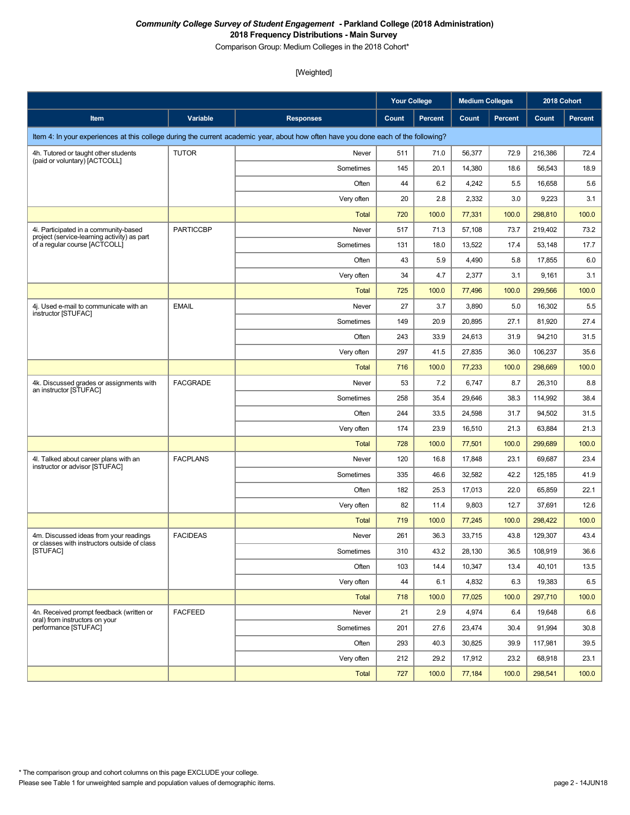Comparison Group: Medium Colleges in the 2018 Cohort\*

|                                                                                        |                  |                                                                                                                                    | <b>Your College</b> |         | <b>Medium Colleges</b> |                | 2018 Cohort |                |
|----------------------------------------------------------------------------------------|------------------|------------------------------------------------------------------------------------------------------------------------------------|---------------------|---------|------------------------|----------------|-------------|----------------|
| Item                                                                                   | Variable         | <b>Responses</b>                                                                                                                   | Count               | Percent | Count                  | <b>Percent</b> | Count       | <b>Percent</b> |
|                                                                                        |                  | Item 4: In your experiences at this college during the current academic year, about how often have you done each of the following? |                     |         |                        |                |             |                |
| 4h. Tutored or taught other students                                                   | <b>TUTOR</b>     | Never                                                                                                                              | 511                 | 71.0    | 56,377                 | 72.9           | 216,386     | 72.4           |
| (paid or voluntary) [ACTCOLL]                                                          |                  | Sometimes                                                                                                                          | 145                 | 20.1    | 14,380                 | 18.6           | 56,543      | 18.9           |
|                                                                                        |                  | Often                                                                                                                              | 44                  | 6.2     | 4,242                  | 5.5            | 16,658      | 5.6            |
|                                                                                        |                  | Very often                                                                                                                         | 20                  | 2.8     | 2,332                  | 3.0            | 9,223       | 3.1            |
|                                                                                        |                  | <b>Total</b>                                                                                                                       | 720                 | 100.0   | 77,331                 | 100.0          | 298,810     | 100.0          |
| 4i. Participated in a community-based<br>project (service-learning activity) as part   | <b>PARTICCBP</b> | Never                                                                                                                              | 517                 | 71.3    | 57,108                 | 73.7           | 219,402     | 73.2           |
| of a regular course [ACTCOLL]                                                          |                  | Sometimes                                                                                                                          | 131                 | 18.0    | 13,522                 | 17.4           | 53,148      | 17.7           |
|                                                                                        |                  | Often                                                                                                                              | 43                  | 5.9     | 4,490                  | 5.8            | 17,855      | 6.0            |
|                                                                                        |                  | Very often                                                                                                                         | 34                  | 4.7     | 2,377                  | 3.1            | 9,161       | 3.1            |
|                                                                                        |                  | <b>Total</b>                                                                                                                       | 725                 | 100.0   | 77,496                 | 100.0          | 299,566     | 100.0          |
| 4j. Used e-mail to communicate with an<br>instructor [STUFAC]                          | <b>EMAIL</b>     | Never                                                                                                                              | 27                  | 3.7     | 3,890                  | 5.0            | 16,302      | 5.5            |
|                                                                                        |                  | Sometimes                                                                                                                          | 149                 | 20.9    | 20,895                 | 27.1           | 81,920      | 27.4           |
|                                                                                        |                  | Often                                                                                                                              | 243                 | 33.9    | 24,613                 | 31.9           | 94,210      | 31.5           |
|                                                                                        |                  | Very often                                                                                                                         | 297                 | 41.5    | 27,835                 | 36.0           | 106,237     | 35.6           |
|                                                                                        |                  | Total                                                                                                                              | 716                 | 100.0   | 77,233                 | 100.0          | 298,669     | 100.0          |
| 4k. Discussed grades or assignments with<br>an instructor [STUFAC]                     | <b>FACGRADE</b>  | Never                                                                                                                              | 53                  | 7.2     | 6,747                  | 8.7            | 26,310      | 8.8            |
|                                                                                        |                  | Sometimes                                                                                                                          | 258                 | 35.4    | 29,646                 | 38.3           | 114,992     | 38.4           |
|                                                                                        |                  | Often                                                                                                                              | 244                 | 33.5    | 24,598                 | 31.7           | 94,502      | 31.5           |
|                                                                                        |                  | Very often                                                                                                                         | 174                 | 23.9    | 16,510                 | 21.3           | 63,884      | 21.3           |
|                                                                                        |                  | Total                                                                                                                              | 728                 | 100.0   | 77,501                 | 100.0          | 299,689     | 100.0          |
| 4I. Talked about career plans with an<br>instructor or advisor [STUFAC]                | <b>FACPLANS</b>  | Never                                                                                                                              | 120                 | 16.8    | 17,848                 | 23.1           | 69,687      | 23.4           |
|                                                                                        |                  | Sometimes                                                                                                                          | 335                 | 46.6    | 32,582                 | 42.2           | 125,185     | 41.9           |
|                                                                                        |                  | Often                                                                                                                              | 182                 | 25.3    | 17,013                 | 22.0           | 65,859      | 22.1           |
|                                                                                        |                  | Very often                                                                                                                         | 82                  | 11.4    | 9,803                  | 12.7           | 37,691      | 12.6           |
|                                                                                        |                  | Total                                                                                                                              | 719                 | 100.0   | 77,245                 | 100.0          | 298,422     | 100.0          |
| 4m. Discussed ideas from your readings<br>or classes with instructors outside of class | <b>FACIDEAS</b>  | Never                                                                                                                              | 261                 | 36.3    | 33,715                 | 43.8           | 129,307     | 43.4           |
| [STUFAC]                                                                               |                  | Sometimes                                                                                                                          | 310                 | 43.2    | 28,130                 | $36.5\,$       | 108,919     | 36.6           |
|                                                                                        |                  | Often                                                                                                                              | 103                 | 14.4    | 10,347                 | 13.4           | 40,101      | 13.5           |
|                                                                                        |                  | Very often                                                                                                                         | 44                  | 6.1     | 4,832                  | 6.3            | 19,383      | 6.5            |
|                                                                                        |                  | <b>Total</b>                                                                                                                       | 718                 | 100.0   | 77,025                 | 100.0          | 297,710     | 100.0          |
| 4n. Received prompt feedback (written or<br>oral) from instructors on your             | <b>FACFEED</b>   | Never                                                                                                                              | 21                  | 2.9     | 4,974                  | 6.4            | 19,648      | 6.6            |
| performance [STUFAC]                                                                   |                  | Sometimes                                                                                                                          | 201                 | 27.6    | 23,474                 | 30.4           | 91,994      | 30.8           |
|                                                                                        |                  | Often                                                                                                                              | 293                 | 40.3    | 30,825                 | 39.9           | 117,981     | 39.5           |
|                                                                                        |                  | Very often                                                                                                                         | 212                 | 29.2    | 17,912                 | 23.2           | 68,918      | 23.1           |
|                                                                                        |                  | <b>Total</b>                                                                                                                       | 727                 | 100.0   | 77,184                 | 100.0          | 298,541     | 100.0          |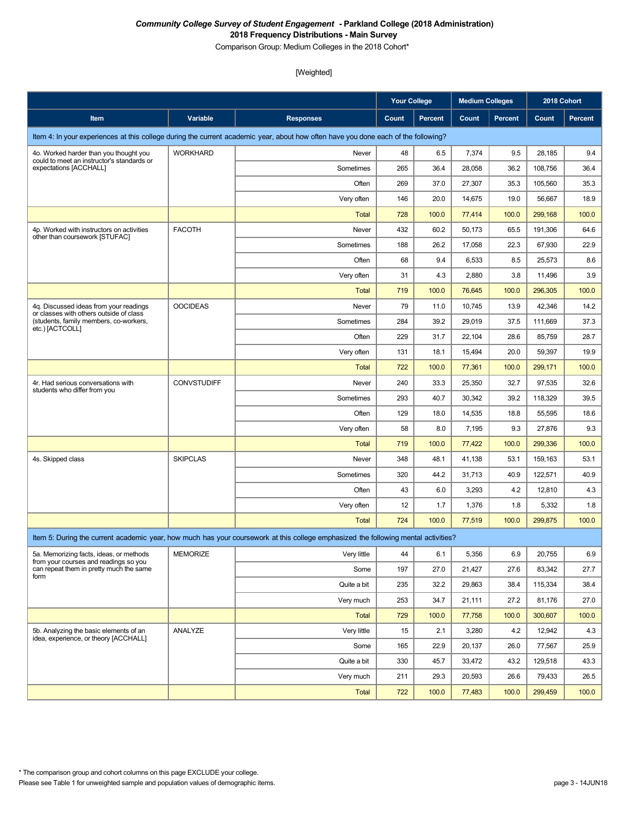Comparison Group: Medium Colleges in the 2018 Cohort\*

|                                                                                   |                    |                                                                                                                                    | <b>Your College</b> |         | <b>Medium Colleges</b> |                | 2018 Cohort |                |
|-----------------------------------------------------------------------------------|--------------------|------------------------------------------------------------------------------------------------------------------------------------|---------------------|---------|------------------------|----------------|-------------|----------------|
| Item                                                                              | Variable           | <b>Responses</b>                                                                                                                   | Count               | Percent | Count                  | <b>Percent</b> | Count       | <b>Percent</b> |
|                                                                                   |                    | Item 4: In your experiences at this college during the current academic year, about how often have you done each of the following? |                     |         |                        |                |             |                |
| 4o. Worked harder than you thought you                                            | <b>WORKHARD</b>    | Never                                                                                                                              | 48                  | 6.5     | 7,374                  | 9.5            | 28,185      | 9.4            |
| could to meet an instructor's standards or<br>expectations [ACCHALL]              |                    | Sometimes                                                                                                                          | 265                 | 36.4    | 28,058                 | 36.2           | 108,756     | 36.4           |
|                                                                                   |                    | Often                                                                                                                              | 269                 | 37.0    | 27,307                 | 35.3           | 105,560     | 35.3           |
|                                                                                   |                    | Very often                                                                                                                         | 146                 | 20.0    | 14,675                 | 19.0           | 56,667      | 18.9           |
|                                                                                   |                    | <b>Total</b>                                                                                                                       | 728                 | 100.0   | 77,414                 | 100.0          | 299,168     | 100.0          |
| 4p. Worked with instructors on activities<br>other than coursework [STUFAC]       | <b>FACOTH</b>      | Never                                                                                                                              | 432                 | 60.2    | 50,173                 | 65.5           | 191,306     | 64.6           |
|                                                                                   |                    | Sometimes                                                                                                                          | 188                 | 26.2    | 17,058                 | 22.3           | 67,930      | 22.9           |
|                                                                                   |                    | Often                                                                                                                              | 68                  | 9.4     | 6,533                  | 8.5            | 25,573      | 8.6            |
|                                                                                   |                    | Very often                                                                                                                         | 31                  | 4.3     | 2,880                  | 3.8            | 11,496      | 3.9            |
|                                                                                   |                    | <b>Total</b>                                                                                                                       | 719                 | 100.0   | 76,645                 | 100.0          | 296,305     | 100.0          |
| 4q. Discussed ideas from your readings<br>or classes with others outside of class | <b>OOCIDEAS</b>    | Never                                                                                                                              | 79                  | 11.0    | 10,745                 | 13.9           | 42,346      | 14.2           |
| (students, family members, co-workers,<br>etc.) [ACTCOLL]                         |                    | Sometimes                                                                                                                          | 284                 | 39.2    | 29,019                 | 37.5           | 111,669     | 37.3           |
|                                                                                   |                    | Often                                                                                                                              | 229                 | 31.7    | 22,104                 | 28.6           | 85,759      | 28.7           |
|                                                                                   |                    | Very often                                                                                                                         | 131                 | 18.1    | 15,494                 | 20.0           | 59,397      | 19.9           |
|                                                                                   |                    | <b>Total</b>                                                                                                                       | 722                 | 100.0   | 77,361                 | 100.0          | 299,171     | 100.0          |
| 4r. Had serious conversations with<br>students who differ from you                | <b>CONVSTUDIFF</b> | Never                                                                                                                              | 240                 | 33.3    | 25,350                 | 32.7           | 97,535      | 32.6           |
|                                                                                   |                    | Sometimes                                                                                                                          | 293                 | 40.7    | 30,342                 | 39.2           | 118,329     | 39.5           |
|                                                                                   |                    | Often                                                                                                                              | 129                 | 18.0    | 14,535                 | 18.8           | 55,595      | 18.6           |
|                                                                                   |                    | Very often                                                                                                                         | 58                  | 8.0     | 7,195                  | 9.3            | 27,876      | 9.3            |
|                                                                                   |                    | <b>Total</b>                                                                                                                       | 719                 | 100.0   | 77,422                 | 100.0          | 299,336     | 100.0          |
| 4s. Skipped class                                                                 | <b>SKIPCLAS</b>    | Never                                                                                                                              | 348                 | 48.1    | 41,138                 | 53.1           | 159,163     | 53.1           |
|                                                                                   |                    | Sometimes                                                                                                                          | 320                 | 44.2    | 31,713                 | 40.9           | 122,571     | 40.9           |
|                                                                                   |                    | Often                                                                                                                              | 43                  | 6.0     | 3,293                  | 4.2            | 12,810      | 4.3            |
|                                                                                   |                    | Very often                                                                                                                         | 12                  | 1.7     | 1,376                  | 1.8            | 5,332       | 1.8            |
|                                                                                   |                    | <b>Total</b>                                                                                                                       | 724                 | 100.0   | 77,519                 | 100.0          | 299,875     | 100.0          |
|                                                                                   |                    | Item 5: During the current academic year, how much has your coursework at this college emphasized the following mental activities? |                     |         |                        |                |             |                |
| 5a. Memorizing facts, ideas, or methods<br>from your courses and readings so you  | <b>MEMORIZE</b>    | Very little                                                                                                                        | 44                  | 6.1     | 5,356                  | 6.9            | 20,755      | 6.9            |
| can repeat them in pretty much the same<br>form                                   |                    | Some                                                                                                                               | 197                 | 27.0    | 21,427                 | 27.6           | 83,342      | 27.7           |
|                                                                                   |                    | Quite a bit                                                                                                                        | 235                 | 32.2    | 29,863                 | 38.4           | 115,334     | 38.4           |
|                                                                                   |                    | Very much                                                                                                                          | 253                 | 34.7    | 21,111                 | 27.2           | 81,176      | 27.0           |
|                                                                                   |                    | <b>Total</b>                                                                                                                       | 729                 | 100.0   | 77,758                 | 100.0          | 300,607     | 100.0          |
| 5b. Analyzing the basic elements of an<br>idea, experience, or theory [ACCHALL]   | ANALYZE            | Very little                                                                                                                        | 15                  | 2.1     | 3,280                  | 4.2            | 12,942      | 4.3            |
|                                                                                   |                    | Some                                                                                                                               | 165                 | 22.9    | 20,137                 | 26.0           | 77,567      | 25.9           |
|                                                                                   |                    | Quite a bit                                                                                                                        | 330                 | 45.7    | 33,472                 | 43.2           | 129,518     | 43.3           |
|                                                                                   |                    | Very much                                                                                                                          | 211                 | 29.3    | 20,593                 | 26.6           | 79,433      | 26.5           |
|                                                                                   |                    | <b>Total</b>                                                                                                                       | 722                 | 100.0   | 77,483                 | 100.0          | 299,459     | 100.0          |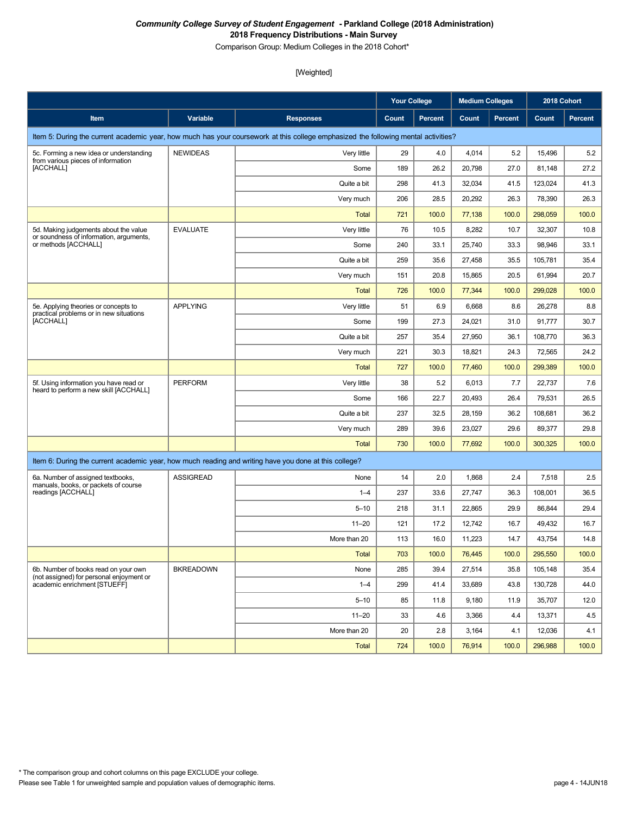Comparison Group: Medium Colleges in the 2018 Cohort\*

|                                                                                                       |                  |                                                                                                                                    | <b>Your College</b> |                | <b>Medium Colleges</b> |                | 2018 Cohort |                |
|-------------------------------------------------------------------------------------------------------|------------------|------------------------------------------------------------------------------------------------------------------------------------|---------------------|----------------|------------------------|----------------|-------------|----------------|
| Item                                                                                                  | Variable         | <b>Responses</b>                                                                                                                   | Count               | <b>Percent</b> | Count                  | <b>Percent</b> | Count       | <b>Percent</b> |
|                                                                                                       |                  | Item 5: During the current academic year, how much has your coursework at this college emphasized the following mental activities? |                     |                |                        |                |             |                |
| 5c. Forming a new idea or understanding<br>from various pieces of information                         | <b>NEWIDEAS</b>  | Very little                                                                                                                        | 29                  | 4.0            | 4,014                  | 5.2            | 15,496      | 5.2            |
| [ACCHALL]                                                                                             |                  | Some                                                                                                                               | 189                 | 26.2           | 20,798                 | 27.0           | 81,148      | 27.2           |
|                                                                                                       |                  | Quite a bit                                                                                                                        | 298                 | 41.3           | 32,034                 | 41.5           | 123,024     | 41.3           |
|                                                                                                       |                  | Very much                                                                                                                          | 206                 | 28.5           | 20,292                 | 26.3           | 78,390      | 26.3           |
|                                                                                                       |                  | <b>Total</b>                                                                                                                       | 721                 | 100.0          | 77,138                 | 100.0          | 298.059     | 100.0          |
| 5d. Making judgements about the value                                                                 | <b>EVALUATE</b>  | Very little                                                                                                                        | 76                  | 10.5           | 8,282                  | 10.7           | 32,307      | 10.8           |
| or soundness of information, arguments,<br>or methods [ACCHALL]                                       |                  | Some                                                                                                                               | 240                 | 33.1           | 25,740                 | 33.3           | 98,946      | 33.1           |
|                                                                                                       |                  | Quite a bit                                                                                                                        | 259                 | 35.6           | 27,458                 | 35.5           | 105,781     | 35.4           |
|                                                                                                       |                  | Very much                                                                                                                          | 151                 | 20.8           | 15,865                 | 20.5           | 61,994      | 20.7           |
|                                                                                                       |                  | <b>Total</b>                                                                                                                       | 726                 | 100.0          | 77,344                 | 100.0          | 299,028     | 100.0          |
| 5e. Applying theories or concepts to                                                                  | <b>APPLYING</b>  | Very little                                                                                                                        | 51                  | 6.9            | 6,668                  | 8.6            | 26,278      | 8.8            |
| practical problems or in new situations<br>[ACCHALL]                                                  |                  | Some                                                                                                                               | 199                 | 27.3           | 24,021                 | 31.0           | 91,777      | 30.7           |
|                                                                                                       |                  | Quite a bit                                                                                                                        | 257                 | 35.4           | 27,950                 | 36.1           | 108,770     | 36.3           |
|                                                                                                       |                  | Very much                                                                                                                          | 221                 | 30.3           | 18,821                 | 24.3           | 72,565      | 24.2           |
|                                                                                                       |                  | <b>Total</b>                                                                                                                       | 727                 | 100.0          | 77,460                 | 100.0          | 299,389     | 100.0          |
| 5f. Using information you have read or                                                                | <b>PERFORM</b>   | Very little                                                                                                                        | 38                  | 5.2            | 6,013                  | 7.7            | 22,737      | 7.6            |
| heard to perform a new skill [ACCHALL]                                                                |                  | Some                                                                                                                               | 166                 | 22.7           | 20,493                 | 26.4           | 79,531      | 26.5           |
|                                                                                                       |                  | Quite a bit                                                                                                                        | 237                 | 32.5           | 28,159                 | 36.2           | 108,681     | 36.2           |
|                                                                                                       |                  | Very much                                                                                                                          | 289                 | 39.6           | 23,027                 | 29.6           | 89,377      | 29.8           |
|                                                                                                       |                  | <b>Total</b>                                                                                                                       | 730                 | 100.0          | 77,692                 | 100.0          | 300,325     | 100.0          |
| Item 6: During the current academic year, how much reading and writing have you done at this college? |                  |                                                                                                                                    |                     |                |                        |                |             |                |
| 6a. Number of assigned textbooks,                                                                     | <b>ASSIGREAD</b> | None                                                                                                                               | 14                  | 2.0            | 1,868                  | 2.4            | 7,518       | 2.5            |
| manuals, books, or packets of course<br>readings [ACCHALL]                                            |                  | $1 - 4$                                                                                                                            | 237                 | 33.6           | 27,747                 | 36.3           | 108,001     | 36.5           |
|                                                                                                       |                  | $5 - 10$                                                                                                                           | 218                 | 31.1           | 22,865                 | 29.9           | 86,844      | 29.4           |
|                                                                                                       |                  | $11 - 20$                                                                                                                          | 121                 | 17.2           | 12,742                 | 16.7           | 49,432      | 16.7           |
|                                                                                                       |                  | More than 20                                                                                                                       | 113                 | 16.0           | 11,223                 | 14.7           | 43,754      | 14.8           |
|                                                                                                       |                  | Total                                                                                                                              | 703                 | 100.0          | 76,445                 | 100.0          | 295,550     | 100.0          |
| 6b. Number of books read on your own                                                                  | <b>BKREADOWN</b> | None                                                                                                                               | 285                 | 39.4           | 27,514                 | 35.8           | 105,148     | 35.4           |
| (not assigned) for personal enjoyment or<br>academic enrichment [STUEFF]                              |                  | $1 - 4$                                                                                                                            | 299                 | 41.4           | 33,689                 | 43.8           | 130,728     | 44.0           |
|                                                                                                       |                  | $5 - 10$                                                                                                                           | 85                  | 11.8           | 9,180                  | 11.9           | 35,707      | 12.0           |
|                                                                                                       |                  | $11 - 20$                                                                                                                          | 33                  | 4.6            | 3,366                  | 4.4            | 13,371      | 4.5            |
|                                                                                                       |                  | More than 20                                                                                                                       | 20                  | 2.8            | 3,164                  | 4.1            | 12,036      | 4.1            |
|                                                                                                       |                  | <b>Total</b>                                                                                                                       | 724                 | 100.0          | 76,914                 | 100.0          | 296,988     | 100.0          |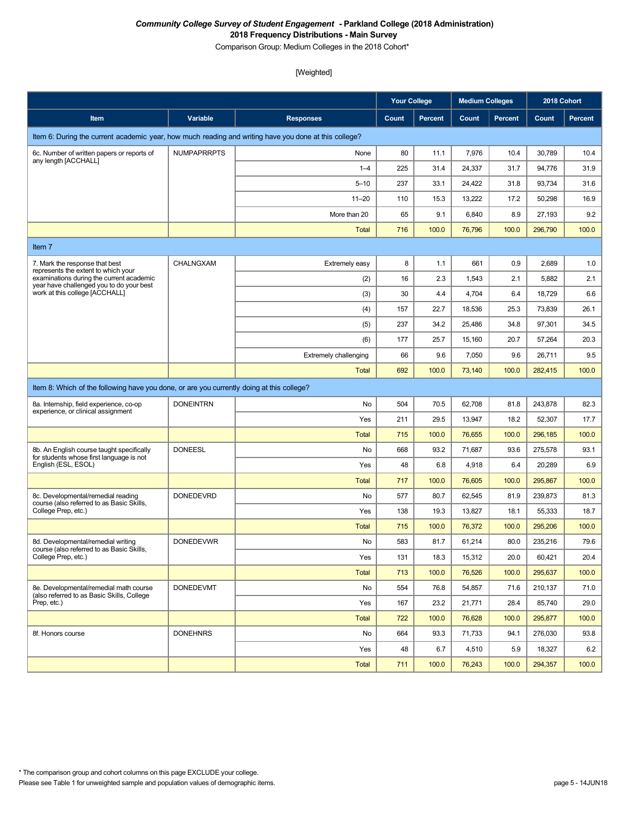Comparison Group: Medium Colleges in the 2018 Cohort\*

|                                                                                                       |                    |                       | <b>Your College</b> |                | <b>Medium Colleges</b> |                | 2018 Cohort |         |
|-------------------------------------------------------------------------------------------------------|--------------------|-----------------------|---------------------|----------------|------------------------|----------------|-------------|---------|
| Item                                                                                                  | Variable           | <b>Responses</b>      | Count               | <b>Percent</b> | Count                  | <b>Percent</b> | Count       | Percent |
| Item 6: During the current academic year, how much reading and writing have you done at this college? |                    |                       |                     |                |                        |                |             |         |
| 6c. Number of written papers or reports of                                                            | <b>NUMPAPRRPTS</b> | None                  | 80                  | 11.1           | 7,976                  | 10.4           | 30,789      | 10.4    |
| any length [ACCHALL]                                                                                  |                    | $1 - 4$               | 225                 | 31.4           | 24,337                 | 31.7           | 94,776      | 31.9    |
|                                                                                                       |                    | $5 - 10$              | 237                 | 33.1           | 24,422                 | 31.8           | 93,734      | 31.6    |
|                                                                                                       |                    | $11 - 20$             | 110                 | 15.3           | 13,222                 | 17.2           | 50,298      | 16.9    |
|                                                                                                       |                    | More than 20          | 65                  | 9.1            | 6,840                  | 8.9            | 27,193      | 9.2     |
|                                                                                                       |                    | <b>Total</b>          | 716                 | 100.0          | 76,796                 | 100.0          | 296,790     | 100.0   |
| Item 7                                                                                                |                    |                       |                     |                |                        |                |             |         |
| 7. Mark the response that best<br>represents the extent to which your                                 | CHALNGXAM          | Extremely easy        | 8                   | 1.1            | 661                    | 0.9            | 2,689       | 1.0     |
| examinations during the current academic<br>year have challenged you to do your best                  |                    | (2)                   | 16                  | 2.3            | 1,543                  | 2.1            | 5,882       | 2.1     |
| work at this college [ACCHALL]                                                                        |                    | (3)                   | 30                  | 4.4            | 4,704                  | 6.4            | 18,729      | 6.6     |
|                                                                                                       |                    | (4)                   | 157                 | 22.7           | 18,536                 | 25.3           | 73,839      | 26.1    |
|                                                                                                       |                    | (5)                   | 237                 | 34.2           | 25,486                 | 34.8           | 97,301      | 34.5    |
|                                                                                                       |                    | (6)                   | 177                 | 25.7           | 15,160                 | 20.7           | 57,264      | 20.3    |
|                                                                                                       |                    | Extremely challenging | 66                  | 9.6            | 7,050                  | 9.6            | 26,711      | 9.5     |
|                                                                                                       |                    | <b>Total</b>          | 692                 | 100.0          | 73,140                 | 100.0          | 282,415     | 100.0   |
| Item 8: Which of the following have you done, or are you currently doing at this college?             |                    |                       |                     |                |                        |                |             |         |
| 8a. Internship, field experience, co-op<br>experience, or clinical assignment                         | <b>DONEINTRN</b>   | No                    | 504                 | 70.5           | 62,708                 | 81.8           | 243,878     | 82.3    |
|                                                                                                       |                    | Yes                   | 211                 | 29.5           | 13,947                 | 18.2           | 52,307      | 17.7    |
|                                                                                                       |                    | <b>Total</b>          | 715                 | 100.0          | 76,655                 | 100.0          | 296,185     | 100.0   |
| 8b. An English course taught specifically<br>for students whose first language is not                 | <b>DONEESL</b>     | No                    | 668                 | 93.2           | 71,687                 | 93.6           | 275,578     | 93.1    |
| English (ESL, ESOL)                                                                                   |                    | Yes                   | 48                  | 6.8            | 4,918                  | 6.4            | 20,289      | 6.9     |
|                                                                                                       |                    | <b>Total</b>          | 717                 | 100.0          | 76,605                 | 100.0          | 295,867     | 100.0   |
| 8c. Developmental/remedial reading<br>course (also referred to as Basic Skills,                       | <b>DONEDEVRD</b>   | No                    | 577                 | 80.7           | 62,545                 | 81.9           | 239,873     | 81.3    |
| College Prep, etc.)                                                                                   |                    | Yes                   | 138                 | 19.3           | 13,827                 | 18.1           | 55,333      | 18.7    |
|                                                                                                       |                    | <b>Total</b>          | 715                 | 100.0          | 76,372                 | 100.0          | 295,206     | 100.0   |
| 8d. Developmental/remedial writing<br>course (also referred to as Basic Skills,                       | <b>DONEDEVWR</b>   | No                    | 583                 | 81.7           | 61,214                 | 80.0           | 235,216     | 79.6    |
| College Prep, etc.)                                                                                   |                    | Yes                   | 131                 | 18.3           | 15,312                 | 20.0           | 60,421      | 20.4    |
|                                                                                                       |                    | <b>Total</b>          | 713                 | 100.0          | 76,526                 | 100.0          | 295,637     | 100.0   |
| 8e. Developmental/remedial math course<br>(also referred to as Basic Skills, College                  | <b>DONEDEVMT</b>   | No                    | 554                 | 76.8           | 54,857                 | 71.6           | 210,137     | 71.0    |
| Prep, etc.)                                                                                           |                    | Yes                   | 167                 | 23.2           | 21,771                 | 28.4           | 85,740      | 29.0    |
|                                                                                                       |                    | <b>Total</b>          | 722                 | 100.0          | 76,628                 | 100.0          | 295,877     | 100.0   |
| 8f. Honors course                                                                                     | <b>DONEHNRS</b>    | No                    | 664                 | 93.3           | 71,733                 | 94.1           | 276,030     | 93.8    |
|                                                                                                       |                    | Yes                   | 48                  | 6.7            | 4,510                  | 5.9            | 18,327      | 6.2     |
|                                                                                                       |                    | <b>Total</b>          | 711                 | 100.0          | 76,243                 | 100.0          | 294,357     | 100.0   |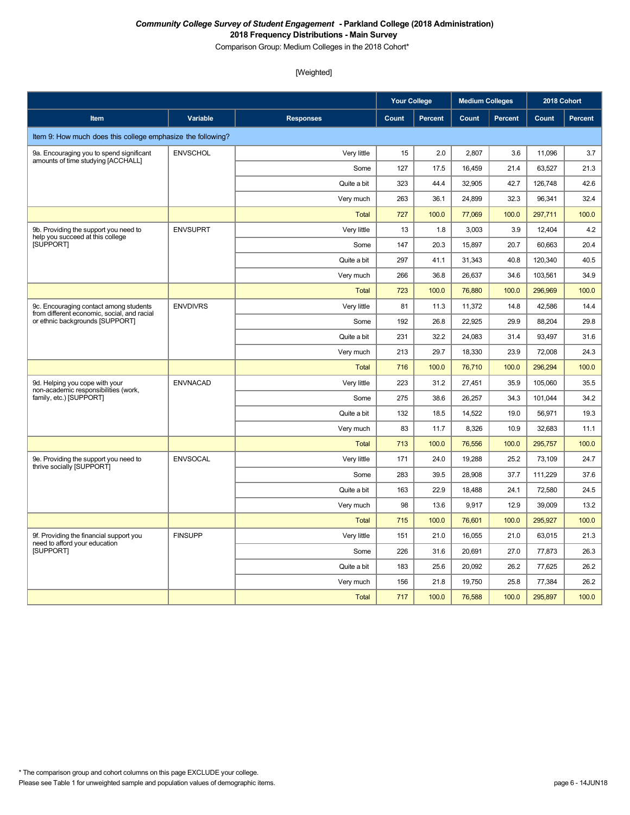Comparison Group: Medium Colleges in the 2018 Cohort\*

|                                                                                       |                 |                  | <b>Your College</b> |                | <b>Medium Colleges</b> |                | 2018 Cohort |         |
|---------------------------------------------------------------------------------------|-----------------|------------------|---------------------|----------------|------------------------|----------------|-------------|---------|
| <b>Item</b>                                                                           | Variable        | <b>Responses</b> | Count               | <b>Percent</b> | Count                  | <b>Percent</b> | Count       | Percent |
| Item 9: How much does this college emphasize the following?                           |                 |                  |                     |                |                        |                |             |         |
| 9a. Encouraging you to spend significant                                              | <b>ENVSCHOL</b> | Very little      | 15                  | 2.0            | 2,807                  | 3.6            | 11,096      | 3.7     |
| amounts of time studying [ACCHALL]                                                    |                 | Some             | 127                 | 17.5           | 16,459                 | 21.4           | 63,527      | 21.3    |
|                                                                                       |                 | Quite a bit      | 323                 | 44.4           | 32,905                 | 42.7           | 126,748     | 42.6    |
|                                                                                       |                 | Very much        | 263                 | 36.1           | 24,899                 | 32.3           | 96,341      | 32.4    |
|                                                                                       |                 | <b>Total</b>     | 727                 | 100.0          | 77,069                 | 100.0          | 297,711     | 100.0   |
| 9b. Providing the support you need to<br>help you succeed at this college             | <b>ENVSUPRT</b> | Very little      | 13                  | 1.8            | 3,003                  | 3.9            | 12,404      | 4.2     |
| <b>ISUPPORTI</b>                                                                      |                 | Some             | 147                 | 20.3           | 15,897                 | 20.7           | 60,663      | 20.4    |
|                                                                                       |                 | Quite a bit      | 297                 | 41.1           | 31,343                 | 40.8           | 120,340     | 40.5    |
|                                                                                       |                 | Very much        | 266                 | 36.8           | 26,637                 | 34.6           | 103,561     | 34.9    |
|                                                                                       |                 | <b>Total</b>     | 723                 | 100.0          | 76,880                 | 100.0          | 296,969     | 100.0   |
| 9c. Encouraging contact among students<br>from different economic, social, and racial | <b>ENVDIVRS</b> | Very little      | 81                  | 11.3           | 11,372                 | 14.8           | 42,586      | 14.4    |
| or ethnic backgrounds [SUPPORT]                                                       |                 | Some             | 192                 | 26.8           | 22,925                 | 29.9           | 88,204      | 29.8    |
|                                                                                       |                 | Quite a bit      | 231                 | 32.2           | 24,083                 | 31.4           | 93,497      | 31.6    |
|                                                                                       |                 | Very much        | 213                 | 29.7           | 18.330                 | 23.9           | 72.008      | 24.3    |
|                                                                                       |                 | <b>Total</b>     | 716                 | 100.0          | 76.710                 | 100.0          | 296,294     | 100.0   |
| 9d. Helping you cope with your<br>non-academic responsibilities (work,                | <b>ENVNACAD</b> | Very little      | 223                 | 31.2           | 27,451                 | 35.9           | 105,060     | 35.5    |
| family, etc.) [SUPPORT]                                                               |                 | Some             | 275                 | 38.6           | 26,257                 | 34.3           | 101,044     | 34.2    |
|                                                                                       |                 | Quite a bit      | 132                 | 18.5           | 14,522                 | 19.0           | 56,971      | 19.3    |
|                                                                                       |                 | Very much        | 83                  | 11.7           | 8,326                  | 10.9           | 32,683      | 11.1    |
|                                                                                       |                 | <b>Total</b>     | 713                 | 100.0          | 76,556                 | 100.0          | 295,757     | 100.0   |
| 9e. Providing the support you need to<br>thrive socially [SUPPORT]                    | <b>ENVSOCAL</b> | Very little      | 171                 | 24.0           | 19,288                 | 25.2           | 73,109      | 24.7    |
|                                                                                       |                 | Some             | 283                 | 39.5           | 28,908                 | 37.7           | 111,229     | 37.6    |
|                                                                                       |                 | Quite a bit      | 163                 | 22.9           | 18,488                 | 24.1           | 72,580      | 24.5    |
|                                                                                       |                 | Very much        | 98                  | 13.6           | 9,917                  | 12.9           | 39,009      | 13.2    |
|                                                                                       |                 | <b>Total</b>     | 715                 | 100.0          | 76,601                 | 100.0          | 295,927     | 100.0   |
| 9f. Providing the financial support you<br>need to afford your education              | <b>FINSUPP</b>  | Very little      | 151                 | 21.0           | 16,055                 | 21.0           | 63,015      | 21.3    |
| [SUPPORT]                                                                             |                 | Some             | 226                 | 31.6           | 20,691                 | 27.0           | 77,873      | 26.3    |
|                                                                                       |                 | Quite a bit      | 183                 | 25.6           | 20,092                 | 26.2           | 77,625      | 26.2    |
|                                                                                       |                 | Very much        | 156                 | 21.8           | 19,750                 | 25.8           | 77,384      | 26.2    |
|                                                                                       |                 | <b>Total</b>     | 717                 | 100.0          | 76,588                 | 100.0          | 295,897     | 100.0   |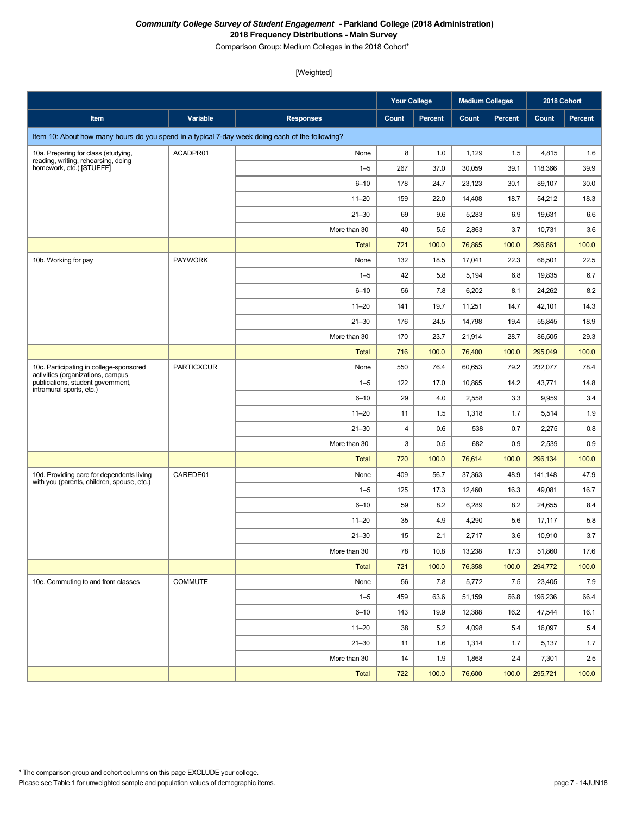Comparison Group: Medium Colleges in the 2018 Cohort\*

|                                                                                                 |                   |                  | <b>Your College</b> |                | <b>Medium Colleges</b> |                | 2018 Cohort |                |
|-------------------------------------------------------------------------------------------------|-------------------|------------------|---------------------|----------------|------------------------|----------------|-------------|----------------|
| Item                                                                                            | Variable          | <b>Responses</b> | Count               | <b>Percent</b> | Count                  | <b>Percent</b> | Count       | <b>Percent</b> |
| Item 10: About how many hours do you spend in a typical 7-day week doing each of the following? |                   |                  |                     |                |                        |                |             |                |
| 10a. Preparing for class (studying,                                                             | ACADPR01          | None             | 8                   | 1.0            | 1,129                  | 1.5            | 4,815       | 1.6            |
| reading, writing, rehearsing, doing<br>homework, etc.) [STUEFF]                                 |                   | $1 - 5$          | 267                 | 37.0           | 30,059                 | 39.1           | 118,366     | 39.9           |
|                                                                                                 |                   | $6 - 10$         | 178                 | 24.7           | 23,123                 | 30.1           | 89,107      | 30.0           |
|                                                                                                 |                   | $11 - 20$        | 159                 | 22.0           | 14,408                 | 18.7           | 54,212      | 18.3           |
|                                                                                                 |                   | $21 - 30$        | 69                  | 9.6            | 5,283                  | 6.9            | 19,631      | 6.6            |
|                                                                                                 |                   | More than 30     | 40                  | 5.5            | 2,863                  | 3.7            | 10,731      | 3.6            |
|                                                                                                 |                   | <b>Total</b>     | 721                 | 100.0          | 76,865                 | 100.0          | 296,861     | 100.0          |
| 10b. Working for pay                                                                            | <b>PAYWORK</b>    | None             | 132                 | 18.5           | 17,041                 | 22.3           | 66,501      | 22.5           |
|                                                                                                 |                   | $1 - 5$          | 42                  | 5.8            | 5,194                  | 6.8            | 19,835      | 6.7            |
|                                                                                                 |                   | $6 - 10$         | 56                  | 7.8            | 6,202                  | 8.1            | 24,262      | 8.2            |
|                                                                                                 |                   | $11 - 20$        | 141                 | 19.7           | 11,251                 | 14.7           | 42,101      | 14.3           |
|                                                                                                 |                   | $21 - 30$        | 176                 | 24.5           | 14,798                 | 19.4           | 55,845      | 18.9           |
|                                                                                                 |                   | More than 30     | 170                 | 23.7           | 21,914                 | 28.7           | 86,505      | 29.3           |
|                                                                                                 |                   | <b>Total</b>     | 716                 | 100.0          | 76,400                 | 100.0          | 295,049     | 100.0          |
| 10c. Participating in college-sponsored<br>activities (organizations, campus                    | <b>PARTICXCUR</b> | None             | 550                 | 76.4           | 60,653                 | 79.2           | 232,077     | 78.4           |
| publications, student government,<br>intramural sports, etc.)                                   |                   | $1 - 5$          | 122                 | 17.0           | 10,865                 | 14.2           | 43,771      | 14.8           |
|                                                                                                 |                   | $6 - 10$         | 29                  | 4.0            | 2,558                  | 3.3            | 9,959       | 3.4            |
|                                                                                                 |                   | $11 - 20$        | 11                  | 1.5            | 1,318                  | 1.7            | 5,514       | 1.9            |
|                                                                                                 |                   | $21 - 30$        | 4                   | 0.6            | 538                    | 0.7            | 2,275       | 0.8            |
|                                                                                                 |                   | More than 30     | 3                   | 0.5            | 682                    | 0.9            | 2,539       | 0.9            |
|                                                                                                 |                   | <b>Total</b>     | 720                 | 100.0          | 76,614                 | 100.0          | 296,134     | 100.0          |
| 10d. Providing care for dependents living<br>with you (parents, children, spouse, etc.)         | CAREDE01          | None             | 409                 | 56.7           | 37,363                 | 48.9           | 141,148     | 47.9           |
|                                                                                                 |                   | $1 - 5$          | 125                 | 17.3           | 12,460                 | 16.3           | 49,081      | 16.7           |
|                                                                                                 |                   | $6 - 10$         | 59                  | 8.2            | 6,289                  | 8.2            | 24,655      | 8.4            |
|                                                                                                 |                   | $11 - 20$        | 35                  | 4.9            | 4,290                  | 5.6            | 17,117      | 5.8            |
|                                                                                                 |                   | $21 - 30$        | 15                  | 2.1            | 2,717                  | 3.6            | 10,910      | 3.7            |
|                                                                                                 |                   | More than 30     | 78                  | 10.8           | 13,238                 | 17.3           | 51,860      | 17.6           |
|                                                                                                 |                   | Total            | 721                 | 100.0          | 76,358                 | 100.0          | 294,772     | 100.0          |
| 10e. Commuting to and from classes                                                              | <b>COMMUTE</b>    | None             | 56                  | 7.8            | 5,772                  | 7.5            | 23,405      | 7.9            |
|                                                                                                 |                   | $1 - 5$          | 459                 | 63.6           | 51,159                 | 66.8           | 196,236     | 66.4           |
|                                                                                                 |                   | $6 - 10$         | 143                 | 19.9           | 12,388                 | 16.2           | 47,544      | 16.1           |
|                                                                                                 |                   | $11 - 20$        | 38                  | 5.2            | 4,098                  | 5.4            | 16,097      | 5.4            |
|                                                                                                 |                   | $21 - 30$        | 11                  | 1.6            | 1,314                  | 1.7            | 5,137       | 1.7            |
|                                                                                                 |                   | More than 30     | 14                  | 1.9            | 1,868                  | 2.4            | 7,301       | 2.5            |
|                                                                                                 |                   | Total            | 722                 | 100.0          | 76,600                 | 100.0          | 295,721     | 100.0          |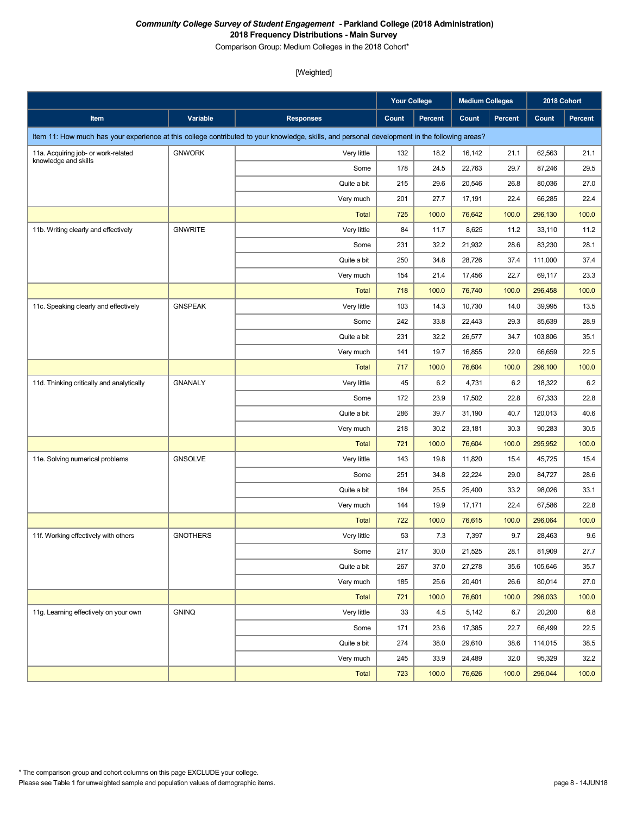Comparison Group: Medium Colleges in the 2018 Cohort\*

|                                           |                 |                                                                                                                                               | <b>Your College</b> |          | <b>Medium Colleges</b> |                | 2018 Cohort |         |
|-------------------------------------------|-----------------|-----------------------------------------------------------------------------------------------------------------------------------------------|---------------------|----------|------------------------|----------------|-------------|---------|
| Item                                      | Variable        | <b>Responses</b>                                                                                                                              | Count               | Percent  | Count                  | <b>Percent</b> | Count       | Percent |
|                                           |                 | Item 11: How much has your experience at this college contributed to your knowledge, skills, and personal development in the following areas? |                     |          |                        |                |             |         |
| 11a. Acquiring job- or work-related       | <b>GNWORK</b>   | Very little                                                                                                                                   | 132                 | 18.2     | 16,142                 | 21.1           | 62,563      | 21.1    |
| knowledge and skills                      |                 | Some                                                                                                                                          | 178                 | 24.5     | 22,763                 | 29.7           | 87,246      | 29.5    |
|                                           |                 | Quite a bit                                                                                                                                   | 215                 | 29.6     | 20,546                 | 26.8           | 80,036      | 27.0    |
|                                           |                 | Very much                                                                                                                                     | 201                 | 27.7     | 17,191                 | 22.4           | 66,285      | 22.4    |
|                                           |                 | <b>Total</b>                                                                                                                                  | 725                 | 100.0    | 76,642                 | 100.0          | 296,130     | 100.0   |
| 11b. Writing clearly and effectively      | <b>GNWRITE</b>  | Very little                                                                                                                                   | 84                  | 11.7     | 8,625                  | 11.2           | 33,110      | 11.2    |
|                                           |                 | Some                                                                                                                                          | 231                 | 32.2     | 21,932                 | 28.6           | 83,230      | 28.1    |
|                                           |                 | Quite a bit                                                                                                                                   | 250                 | 34.8     | 28,726                 | 37.4           | 111,000     | 37.4    |
|                                           |                 | Very much                                                                                                                                     | 154                 | 21.4     | 17,456                 | 22.7           | 69,117      | 23.3    |
|                                           |                 | <b>Total</b>                                                                                                                                  | 718                 | 100.0    | 76,740                 | 100.0          | 296,458     | 100.0   |
| 11c. Speaking clearly and effectively     | <b>GNSPEAK</b>  | Very little                                                                                                                                   | 103                 | 14.3     | 10,730                 | 14.0           | 39,995      | 13.5    |
|                                           |                 | Some                                                                                                                                          | 242                 | 33.8     | 22,443                 | 29.3           | 85,639      | 28.9    |
|                                           |                 | Quite a bit                                                                                                                                   | 231                 | 32.2     | 26,577                 | 34.7           | 103,806     | 35.1    |
|                                           |                 | Very much                                                                                                                                     | 141                 | 19.7     | 16,855                 | 22.0           | 66,659      | 22.5    |
|                                           |                 | <b>Total</b>                                                                                                                                  | 717                 | 100.0    | 76,604                 | 100.0          | 296,100     | 100.0   |
| 11d. Thinking critically and analytically | <b>GNANALY</b>  | Very little                                                                                                                                   | 45                  | 6.2      | 4,731                  | 6.2            | 18,322      | 6.2     |
|                                           |                 | Some                                                                                                                                          | 172                 | 23.9     | 17,502                 | 22.8           | 67,333      | 22.8    |
|                                           |                 | Quite a bit                                                                                                                                   | 286                 | 39.7     | 31,190                 | 40.7           | 120,013     | 40.6    |
|                                           |                 | Very much                                                                                                                                     | 218                 | 30.2     | 23,181                 | 30.3           | 90,283      | 30.5    |
|                                           |                 | <b>Total</b>                                                                                                                                  | 721                 | 100.0    | 76,604                 | 100.0          | 295,952     | 100.0   |
| 11e. Solving numerical problems           | <b>GNSOLVE</b>  | Very little                                                                                                                                   | 143                 | 19.8     | 11,820                 | 15.4           | 45,725      | 15.4    |
|                                           |                 | Some                                                                                                                                          | 251                 | 34.8     | 22,224                 | 29.0           | 84,727      | 28.6    |
|                                           |                 | Quite a bit                                                                                                                                   | 184                 | 25.5     | 25,400                 | 33.2           | 98,026      | 33.1    |
|                                           |                 | Very much                                                                                                                                     | 144                 | 19.9     | 17,171                 | 22.4           | 67,586      | 22.8    |
|                                           |                 | <b>Total</b>                                                                                                                                  | 722                 | 100.0    | 76,615                 | 100.0          | 296,064     | 100.0   |
| 11f. Working effectively with others      | <b>GNOTHERS</b> | Very little                                                                                                                                   | 53                  | 7.3      | 7,397                  | 9.7            | 28,463      | 9.6     |
|                                           |                 | Some                                                                                                                                          | 217                 | $30.0\,$ | 21,525                 | 28.1           | 81,909      | 27.7    |
|                                           |                 | Quite a bit                                                                                                                                   | 267                 | 37.0     | 27,278                 | 35.6           | 105,646     | 35.7    |
|                                           |                 | Very much                                                                                                                                     | 185                 | 25.6     | 20,401                 | 26.6           | 80,014      | 27.0    |
|                                           |                 | <b>Total</b>                                                                                                                                  | 721                 | 100.0    | 76,601                 | 100.0          | 296,033     | 100.0   |
| 11g. Learning effectively on your own     | <b>GNINQ</b>    | Very little                                                                                                                                   | 33                  | 4.5      | 5,142                  | 6.7            | 20,200      | 6.8     |
|                                           |                 | Some                                                                                                                                          | 171                 | 23.6     | 17,385                 | 22.7           | 66,499      | 22.5    |
|                                           |                 | Quite a bit                                                                                                                                   | 274                 | 38.0     | 29,610                 | 38.6           | 114,015     | 38.5    |
|                                           |                 | Very much                                                                                                                                     | 245                 | 33.9     | 24,489                 | 32.0           | 95,329      | 32.2    |
|                                           |                 | <b>Total</b>                                                                                                                                  | 723                 | 100.0    | 76,626                 | 100.0          | 296,044     | 100.0   |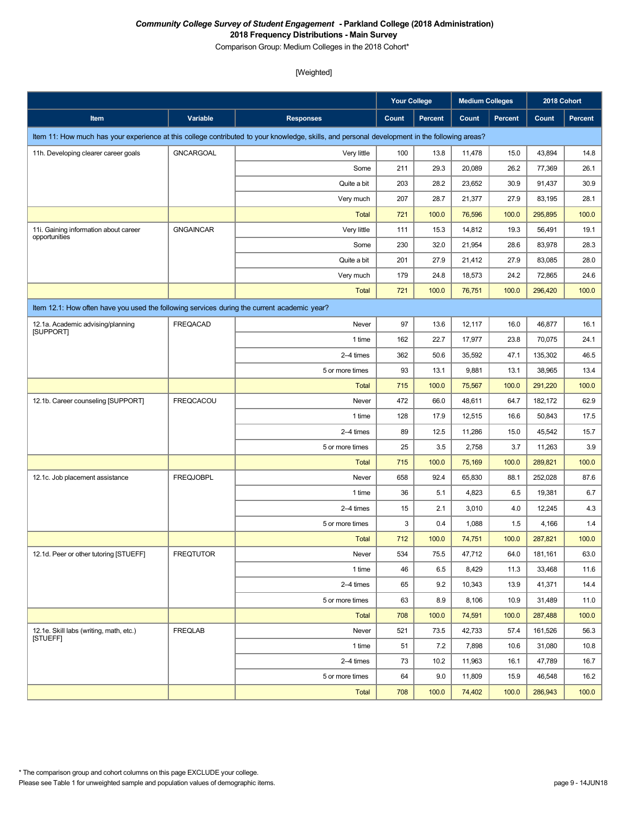Comparison Group: Medium Colleges in the 2018 Cohort\*

|                                                                                             |                  |                                                                                                                                               | <b>Your College</b> |         | <b>Medium Colleges</b> |                | 2018 Cohort |                |
|---------------------------------------------------------------------------------------------|------------------|-----------------------------------------------------------------------------------------------------------------------------------------------|---------------------|---------|------------------------|----------------|-------------|----------------|
| Item                                                                                        | Variable         | <b>Responses</b>                                                                                                                              | Count               | Percent | Count                  | <b>Percent</b> | Count       | <b>Percent</b> |
|                                                                                             |                  | Item 11: How much has your experience at this college contributed to your knowledge, skills, and personal development in the following areas? |                     |         |                        |                |             |                |
| 11h. Developing clearer career goals                                                        | <b>GNCARGOAL</b> | Very little                                                                                                                                   | 100                 | 13.8    | 11,478                 | 15.0           | 43,894      | 14.8           |
|                                                                                             |                  | Some                                                                                                                                          | 211                 | 29.3    | 20,089                 | 26.2           | 77,369      | 26.1           |
|                                                                                             |                  | Quite a bit                                                                                                                                   | 203                 | 28.2    | 23,652                 | 30.9           | 91,437      | 30.9           |
|                                                                                             |                  | Very much                                                                                                                                     | 207                 | 28.7    | 21,377                 | 27.9           | 83,195      | 28.1           |
|                                                                                             |                  | <b>Total</b>                                                                                                                                  | 721                 | 100.0   | 76,596                 | 100.0          | 295,895     | 100.0          |
| 11i. Gaining information about career<br>opportunities                                      | <b>GNGAINCAR</b> | Very little                                                                                                                                   | 111                 | 15.3    | 14,812                 | 19.3           | 56,491      | 19.1           |
|                                                                                             |                  | Some                                                                                                                                          | 230                 | 32.0    | 21,954                 | 28.6           | 83,978      | 28.3           |
|                                                                                             |                  | Quite a bit                                                                                                                                   | 201                 | 27.9    | 21,412                 | 27.9           | 83,085      | 28.0           |
|                                                                                             |                  | Very much                                                                                                                                     | 179                 | 24.8    | 18,573                 | 24.2           | 72,865      | 24.6           |
|                                                                                             |                  | <b>Total</b>                                                                                                                                  | 721                 | 100.0   | 76,751                 | 100.0          | 296,420     | 100.0          |
| Item 12.1: How often have you used the following services during the current academic year? |                  |                                                                                                                                               |                     |         |                        |                |             |                |
| 12.1a. Academic advising/planning                                                           | FREQACAD         | Never                                                                                                                                         | 97                  | 13.6    | 12,117                 | 16.0           | 46,877      | 16.1           |
| [SUPPORT]                                                                                   |                  | 1 time                                                                                                                                        | 162                 | 22.7    | 17,977                 | 23.8           | 70,075      | 24.1           |
|                                                                                             |                  | 2-4 times                                                                                                                                     | 362                 | 50.6    | 35,592                 | 47.1           | 135,302     | 46.5           |
|                                                                                             |                  | 5 or more times                                                                                                                               | 93                  | 13.1    | 9,881                  | 13.1           | 38,965      | 13.4           |
|                                                                                             |                  | <b>Total</b>                                                                                                                                  | 715                 | 100.0   | 75,567                 | 100.0          | 291,220     | 100.0          |
| 12.1b. Career counseling [SUPPORT]                                                          | <b>FREQCACOU</b> | Never                                                                                                                                         | 472                 | 66.0    | 48,611                 | 64.7           | 182,172     | 62.9           |
|                                                                                             |                  | 1 time                                                                                                                                        | 128                 | 17.9    | 12,515                 | 16.6           | 50,843      | 17.5           |
|                                                                                             |                  | 2-4 times                                                                                                                                     | 89                  | 12.5    | 11,286                 | 15.0           | 45,542      | 15.7           |
|                                                                                             |                  | 5 or more times                                                                                                                               | 25                  | 3.5     | 2,758                  | 3.7            | 11,263      | 3.9            |
|                                                                                             |                  | <b>Total</b>                                                                                                                                  | 715                 | 100.0   | 75,169                 | 100.0          | 289,821     | 100.0          |
| 12.1c. Job placement assistance                                                             | <b>FREQJOBPL</b> | Never                                                                                                                                         | 658                 | 92.4    | 65,830                 | 88.1           | 252,028     | 87.6           |
|                                                                                             |                  | 1 time                                                                                                                                        | 36                  | 5.1     | 4,823                  | 6.5            | 19,381      | 6.7            |
|                                                                                             |                  | 2-4 times                                                                                                                                     | 15                  | 2.1     | 3,010                  | 4.0            | 12,245      | 4.3            |
|                                                                                             |                  | 5 or more times                                                                                                                               | 3                   | 0.4     | 1,088                  | 1.5            | 4,166       | 1.4            |
|                                                                                             |                  | <b>Total</b>                                                                                                                                  | 712                 | 100.0   | 74,751                 | 100.0          | 287,821     | 100.0          |
| 12.1d. Peer or other tutoring [STUEFF]                                                      | <b>FREQTUTOR</b> | Never                                                                                                                                         | 534                 | 75.5    | 47,712                 | 64.0           | 181,161     | 63.0           |
|                                                                                             |                  | 1 time                                                                                                                                        | 46                  | 6.5     | 8,429                  | 11.3           | 33,468      | 11.6           |
|                                                                                             |                  | 2-4 times                                                                                                                                     | 65                  | 9.2     | 10,343                 | 13.9           | 41,371      | 14.4           |
|                                                                                             |                  | 5 or more times                                                                                                                               | 63                  | 8.9     | 8,106                  | 10.9           | 31,489      | 11.0           |
|                                                                                             |                  | Total                                                                                                                                         | 708                 | 100.0   | 74,591                 | 100.0          | 287,488     | 100.0          |
| 12.1e. Skill labs (writing, math, etc.)<br><b>ISTUEFFI</b>                                  | <b>FREQLAB</b>   | Never                                                                                                                                         | 521                 | 73.5    | 42,733                 | 57.4           | 161,526     | 56.3           |
|                                                                                             |                  | 1 time                                                                                                                                        | 51                  | 7.2     | 7,898                  | 10.6           | 31,080      | 10.8           |
|                                                                                             |                  | 2-4 times                                                                                                                                     | 73                  | 10.2    | 11,963                 | 16.1           | 47,789      | 16.7           |
|                                                                                             |                  | 5 or more times                                                                                                                               | 64                  | 9.0     | 11,809                 | 15.9           | 46,548      | 16.2           |
|                                                                                             |                  | Total                                                                                                                                         | 708                 | 100.0   | 74,402                 | 100.0          | 286,943     | 100.0          |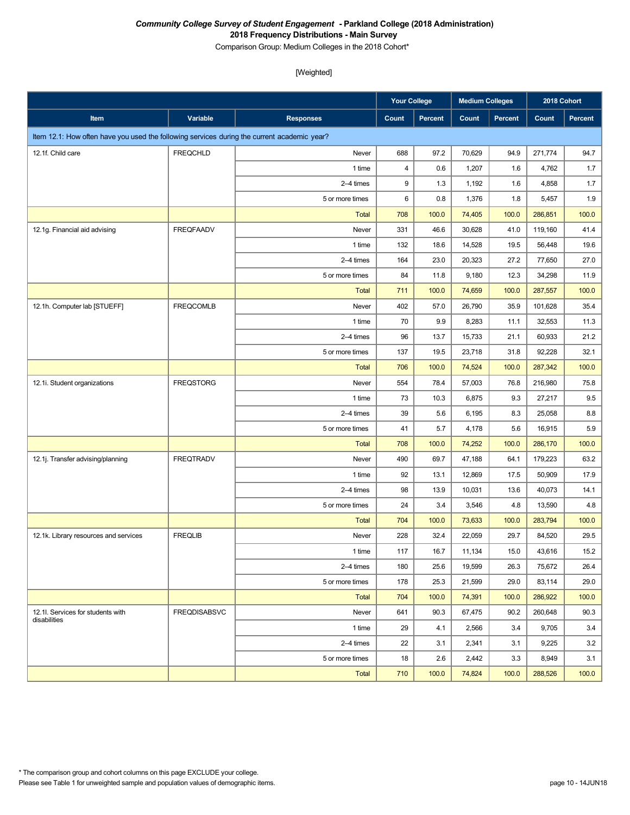Comparison Group: Medium Colleges in the 2018 Cohort\*

|                                                                                             |                     |                  | <b>Your College</b> |         | <b>Medium Colleges</b> |         | 2018 Cohort |         |
|---------------------------------------------------------------------------------------------|---------------------|------------------|---------------------|---------|------------------------|---------|-------------|---------|
| Item                                                                                        | Variable            | <b>Responses</b> | <b>Count</b>        | Percent | Count                  | Percent | Count       | Percent |
| Item 12.1: How often have you used the following services during the current academic year? |                     |                  |                     |         |                        |         |             |         |
| 12.1f. Child care                                                                           | <b>FREQCHLD</b>     | Never            | 688                 | 97.2    | 70,629                 | 94.9    | 271,774     | 94.7    |
|                                                                                             |                     | 1 time           | 4                   | 0.6     | 1,207                  | 1.6     | 4,762       | 1.7     |
|                                                                                             |                     | 2-4 times        | 9                   | 1.3     | 1,192                  | 1.6     | 4,858       | 1.7     |
|                                                                                             |                     | 5 or more times  | 6                   | 0.8     | 1,376                  | 1.8     | 5,457       | 1.9     |
|                                                                                             |                     | <b>Total</b>     | 708                 | 100.0   | 74,405                 | 100.0   | 286,851     | 100.0   |
| 12.1g. Financial aid advising                                                               | <b>FREQFAADV</b>    | Never            | 331                 | 46.6    | 30,628                 | 41.0    | 119,160     | 41.4    |
|                                                                                             |                     | 1 time           | 132                 | 18.6    | 14,528                 | 19.5    | 56,448      | 19.6    |
|                                                                                             |                     | 2-4 times        | 164                 | 23.0    | 20,323                 | 27.2    | 77,650      | 27.0    |
|                                                                                             |                     | 5 or more times  | 84                  | 11.8    | 9,180                  | 12.3    | 34,298      | 11.9    |
|                                                                                             |                     | <b>Total</b>     | 711                 | 100.0   | 74,659                 | 100.0   | 287,557     | 100.0   |
| 12.1h. Computer lab [STUEFF]                                                                | <b>FREQCOMLB</b>    | Never            | 402                 | 57.0    | 26,790                 | 35.9    | 101,628     | 35.4    |
|                                                                                             |                     | 1 time           | 70                  | 9.9     | 8,283                  | 11.1    | 32,553      | 11.3    |
|                                                                                             |                     | 2-4 times        | 96                  | 13.7    | 15,733                 | 21.1    | 60,933      | 21.2    |
|                                                                                             |                     | 5 or more times  | 137                 | 19.5    | 23,718                 | 31.8    | 92,228      | 32.1    |
|                                                                                             |                     | <b>Total</b>     | 706                 | 100.0   | 74,524                 | 100.0   | 287,342     | 100.0   |
| 12.1i. Student organizations                                                                | <b>FREQSTORG</b>    | Never            | 554                 | 78.4    | 57,003                 | 76.8    | 216,980     | 75.8    |
|                                                                                             |                     | 1 time           | 73                  | 10.3    | 6,875                  | 9.3     | 27,217      | 9.5     |
|                                                                                             |                     | 2-4 times        | 39                  | 5.6     | 6,195                  | 8.3     | 25,058      | 8.8     |
|                                                                                             |                     | 5 or more times  | 41                  | 5.7     | 4,178                  | 5.6     | 16,915      | 5.9     |
|                                                                                             |                     | <b>Total</b>     | 708                 | 100.0   | 74,252                 | 100.0   | 286,170     | 100.0   |
| 12.1j. Transfer advising/planning                                                           | <b>FREQTRADV</b>    | Never            | 490                 | 69.7    | 47,188                 | 64.1    | 179,223     | 63.2    |
|                                                                                             |                     | 1 time           | 92                  | 13.1    | 12,869                 | 17.5    | 50,909      | 17.9    |
|                                                                                             |                     | 2-4 times        | 98                  | 13.9    | 10,031                 | 13.6    | 40,073      | 14.1    |
|                                                                                             |                     | 5 or more times  | 24                  | 3.4     | 3,546                  | 4.8     | 13,590      | 4.8     |
|                                                                                             |                     | <b>Total</b>     | 704                 | 100.0   | 73,633                 | 100.0   | 283,794     | 100.0   |
| 12.1k. Library resources and services                                                       | <b>FREQLIB</b>      | Never            | 228                 | 32.4    | 22,059                 | 29.7    | 84,520      | 29.5    |
|                                                                                             |                     | 1 time           | 117                 | 16.7    | 11,134                 | 15.0    | 43,616      | 15.2    |
|                                                                                             |                     | 2-4 times        | 180                 | 25.6    | 19,599                 | 26.3    | 75,672      | 26.4    |
|                                                                                             |                     | 5 or more times  | 178                 | 25.3    | 21,599                 | 29.0    | 83,114      | 29.0    |
|                                                                                             |                     | Total            | 704                 | 100.0   | 74,391                 | 100.0   | 286,922     | 100.0   |
| 12.1I. Services for students with<br>disabilities                                           | <b>FREQDISABSVC</b> | Never            | 641                 | 90.3    | 67,475                 | 90.2    | 260,648     | 90.3    |
|                                                                                             |                     | 1 time           | 29                  | 4.1     | 2,566                  | 3.4     | 9,705       | 3.4     |
|                                                                                             |                     | 2-4 times        | 22                  | 3.1     | 2,341                  | 3.1     | 9,225       | 3.2     |
|                                                                                             |                     | 5 or more times  | 18                  | 2.6     | 2,442                  | 3.3     | 8,949       | 3.1     |
|                                                                                             |                     | <b>Total</b>     | 710                 | 100.0   | 74,824                 | 100.0   | 288,526     | 100.0   |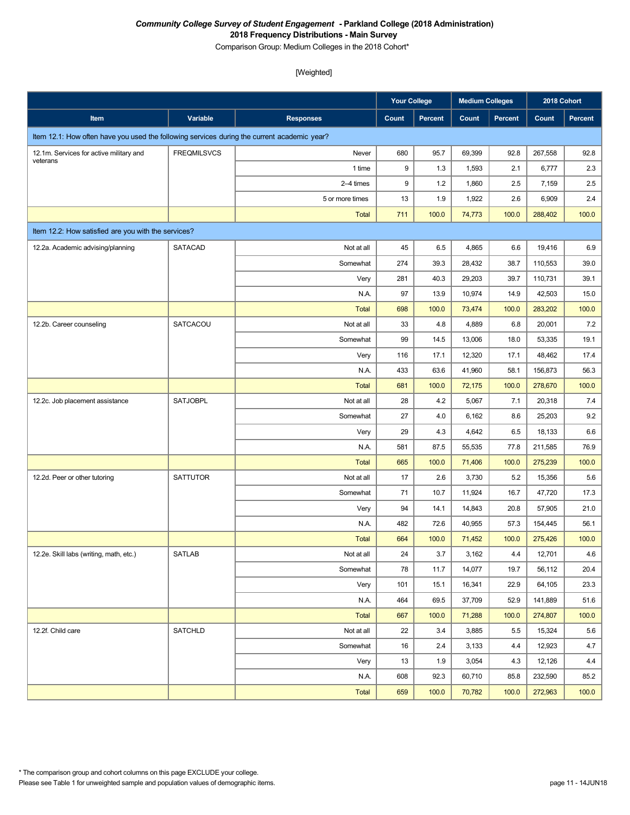Comparison Group: Medium Colleges in the 2018 Cohort\*

|                                                                                             |                    |                  | <b>Your College</b> |                | <b>Medium Colleges</b> |                | 2018 Cohort |                |
|---------------------------------------------------------------------------------------------|--------------------|------------------|---------------------|----------------|------------------------|----------------|-------------|----------------|
| Item                                                                                        | Variable           | <b>Responses</b> | Count               | <b>Percent</b> | Count                  | <b>Percent</b> | Count       | <b>Percent</b> |
| Item 12.1: How often have you used the following services during the current academic year? |                    |                  |                     |                |                        |                |             |                |
| 12.1m. Services for active military and                                                     | <b>FREQMILSVCS</b> | Never            | 680                 | 95.7           | 69,399                 | 92.8           | 267,558     | 92.8           |
| veterans                                                                                    |                    | 1 time           | 9                   | 1.3            | 1,593                  | 2.1            | 6,777       | 2.3            |
|                                                                                             |                    | 2-4 times        | 9                   | 1.2            | 1,860                  | 2.5            | 7,159       | 2.5            |
|                                                                                             |                    | 5 or more times  | 13                  | 1.9            | 1,922                  | 2.6            | 6,909       | 2.4            |
|                                                                                             |                    | <b>Total</b>     | 711                 | 100.0          | 74,773                 | 100.0          | 288,402     | 100.0          |
| Item 12.2: How satisfied are you with the services?                                         |                    |                  |                     |                |                        |                |             |                |
| 12.2a. Academic advising/planning                                                           | <b>SATACAD</b>     | Not at all       | 45                  | 6.5            | 4,865                  | 6.6            | 19,416      | 6.9            |
|                                                                                             |                    | Somewhat         | 274                 | 39.3           | 28,432                 | 38.7           | 110,553     | 39.0           |
|                                                                                             |                    | Very             | 281                 | 40.3           | 29,203                 | 39.7           | 110,731     | 39.1           |
|                                                                                             |                    | N.A.             | 97                  | 13.9           | 10,974                 | 14.9           | 42,503      | 15.0           |
|                                                                                             |                    | <b>Total</b>     | 698                 | 100.0          | 73,474                 | 100.0          | 283,202     | 100.0          |
| 12.2b. Career counseling                                                                    | SATCACOU           | Not at all       | 33                  | 4.8            | 4,889                  | 6.8            | 20,001      | 7.2            |
|                                                                                             |                    | Somewhat         | 99                  | 14.5           | 13,006                 | 18.0           | 53,335      | 19.1           |
|                                                                                             |                    | Very             | 116                 | 17.1           | 12,320                 | 17.1           | 48,462      | 17.4           |
|                                                                                             |                    | N.A.             | 433                 | 63.6           | 41,960                 | 58.1           | 156,873     | 56.3           |
|                                                                                             |                    | <b>Total</b>     | 681                 | 100.0          | 72,175                 | 100.0          | 278,670     | 100.0          |
| 12.2c. Job placement assistance                                                             | <b>SATJOBPL</b>    | Not at all       | 28                  | 4.2            | 5,067                  | 7.1            | 20,318      | 7.4            |
|                                                                                             |                    | Somewhat         | 27                  | 4.0            | 6,162                  | 8.6            | 25,203      | 9.2            |
|                                                                                             |                    | Very             | 29                  | 4.3            | 4,642                  | 6.5            | 18,133      | 6.6            |
|                                                                                             |                    | N.A.             | 581                 | 87.5           | 55,535                 | 77.8           | 211,585     | 76.9           |
|                                                                                             |                    | <b>Total</b>     | 665                 | 100.0          | 71,406                 | 100.0          | 275,239     | 100.0          |
| 12.2d. Peer or other tutoring                                                               | <b>SATTUTOR</b>    | Not at all       | 17                  | 2.6            | 3,730                  | 5.2            | 15,356      | 5.6            |
|                                                                                             |                    | Somewhat         | 71                  | 10.7           | 11,924                 | 16.7           | 47,720      | 17.3           |
|                                                                                             |                    | Very             | 94                  | 14.1           | 14,843                 | 20.8           | 57,905      | 21.0           |
|                                                                                             |                    | N.A.             | 482                 | 72.6           | 40,955                 | 57.3           | 154,445     | 56.1           |
|                                                                                             |                    | <b>Total</b>     | 664                 | 100.0          | 71,452                 | 100.0          | 275,426     | 100.0          |
| 12.2e. Skill labs (writing, math, etc.)                                                     | <b>SATLAB</b>      | Not at all       | 24                  | 3.7            | 3,162                  | 4.4            | 12,701      | 4.6            |
|                                                                                             |                    | Somewhat         | 78                  | 11.7           | 14,077                 | 19.7           | 56,112      | 20.4           |
|                                                                                             |                    | Very             | 101                 | 15.1           | 16,341                 | 22.9           | 64,105      | 23.3           |
|                                                                                             |                    | N.A.             | 464                 | 69.5           | 37,709                 | 52.9           | 141,889     | 51.6           |
|                                                                                             |                    | Total            | 667                 | 100.0          | 71,288                 | 100.0          | 274,807     | 100.0          |
| 12.2f. Child care                                                                           | <b>SATCHLD</b>     | Not at all       | 22                  | 3.4            | 3,885                  | 5.5            | 15,324      | 5.6            |
|                                                                                             |                    | Somewhat         | 16                  | 2.4            | 3,133                  | 4.4            | 12,923      | 4.7            |
|                                                                                             |                    | Very             | 13                  | 1.9            | 3,054                  | 4.3            | 12,126      | 4.4            |
|                                                                                             |                    | N.A.             | 608                 | 92.3           | 60,710                 | 85.8           | 232,590     | 85.2           |
|                                                                                             |                    | Total            | 659                 | 100.0          | 70,782                 | 100.0          | 272,963     | 100.0          |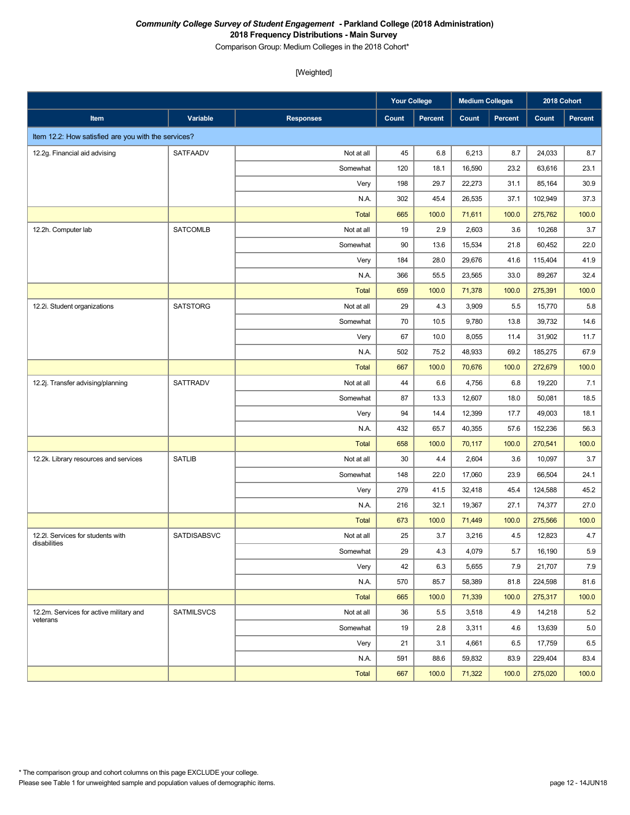Comparison Group: Medium Colleges in the 2018 Cohort\*

|                                                     |                   |                  | <b>Your College</b> |         | <b>Medium Colleges</b> |                | 2018 Cohort |         |
|-----------------------------------------------------|-------------------|------------------|---------------------|---------|------------------------|----------------|-------------|---------|
| Item                                                | Variable          | <b>Responses</b> | Count               | Percent | Count                  | <b>Percent</b> | Count       | Percent |
| Item 12.2: How satisfied are you with the services? |                   |                  |                     |         |                        |                |             |         |
| 12.2g. Financial aid advising                       | SATFAADV          | Not at all       | 45                  | 6.8     | 6,213                  | 8.7            | 24,033      | 8.7     |
|                                                     |                   | Somewhat         | 120                 | 18.1    | 16,590                 | 23.2           | 63,616      | 23.1    |
|                                                     |                   | Very             | 198                 | 29.7    | 22,273                 | 31.1           | 85,164      | 30.9    |
|                                                     |                   | N.A.             | 302                 | 45.4    | 26,535                 | 37.1           | 102,949     | 37.3    |
|                                                     |                   | <b>Total</b>     | 665                 | 100.0   | 71,611                 | 100.0          | 275,762     | 100.0   |
| 12.2h. Computer lab                                 | <b>SATCOMLB</b>   | Not at all       | 19                  | 2.9     | 2,603                  | 3.6            | 10,268      | 3.7     |
|                                                     |                   | Somewhat         | 90                  | 13.6    | 15,534                 | 21.8           | 60,452      | 22.0    |
|                                                     |                   | Very             | 184                 | 28.0    | 29,676                 | 41.6           | 115,404     | 41.9    |
|                                                     |                   | N.A.             | 366                 | 55.5    | 23,565                 | 33.0           | 89,267      | 32.4    |
|                                                     |                   | <b>Total</b>     | 659                 | 100.0   | 71,378                 | 100.0          | 275,391     | 100.0   |
| 12.2i. Student organizations                        | <b>SATSTORG</b>   | Not at all       | 29                  | 4.3     | 3,909                  | 5.5            | 15,770      | 5.8     |
|                                                     |                   | Somewhat         | 70                  | 10.5    | 9,780                  | 13.8           | 39,732      | 14.6    |
|                                                     |                   | Very             | 67                  | 10.0    | 8,055                  | 11.4           | 31,902      | 11.7    |
|                                                     |                   | N.A.             | 502                 | 75.2    | 48,933                 | 69.2           | 185,275     | 67.9    |
|                                                     |                   | <b>Total</b>     | 667                 | 100.0   | 70,676                 | 100.0          | 272,679     | 100.0   |
| 12.2j. Transfer advising/planning                   | <b>SATTRADV</b>   | Not at all       | 44                  | 6.6     | 4,756                  | 6.8            | 19,220      | 7.1     |
|                                                     |                   | Somewhat         | 87                  | 13.3    | 12,607                 | 18.0           | 50,081      | 18.5    |
|                                                     |                   | Very             | 94                  | 14.4    | 12,399                 | 17.7           | 49,003      | 18.1    |
|                                                     |                   | N.A.             | 432                 | 65.7    | 40,355                 | 57.6           | 152,236     | 56.3    |
|                                                     |                   | <b>Total</b>     | 658                 | 100.0   | 70,117                 | 100.0          | 270,541     | 100.0   |
| 12.2k. Library resources and services               | <b>SATLIB</b>     | Not at all       | 30                  | 4.4     | 2,604                  | 3.6            | 10,097      | 3.7     |
|                                                     |                   | Somewhat         | 148                 | 22.0    | 17,060                 | 23.9           | 66,504      | 24.1    |
|                                                     |                   | Very             | 279                 | 41.5    | 32,418                 | 45.4           | 124,588     | 45.2    |
|                                                     |                   | N.A.             | 216                 | 32.1    | 19,367                 | 27.1           | 74,377      | 27.0    |
|                                                     |                   | <b>Total</b>     | 673                 | 100.0   | 71,449                 | 100.0          | 275,566     | 100.0   |
| 12.2l. Services for students with<br>disabilities   | SATDISABSVC       | Not at all       | 25                  | 3.7     | 3,216                  | 4.5            | 12,823      | 4.7     |
|                                                     |                   | Somewhat         | 29                  | 4.3     | 4,079                  | 5.7            | 16,190      | 5.9     |
|                                                     |                   | Very             | 42                  | 6.3     | 5,655                  | 7.9            | 21,707      | 7.9     |
|                                                     |                   | N.A.             | 570                 | 85.7    | 58,389                 | 81.8           | 224,598     | 81.6    |
|                                                     |                   | Total            | 665                 | 100.0   | 71,339                 | 100.0          | 275,317     | 100.0   |
| 12.2m. Services for active military and<br>veterans | <b>SATMILSVCS</b> | Not at all       | 36                  | 5.5     | 3,518                  | 4.9            | 14,218      | 5.2     |
|                                                     |                   | Somewhat         | 19                  | 2.8     | 3,311                  | 4.6            | 13,639      | 5.0     |
|                                                     |                   | Very             | 21                  | 3.1     | 4,661                  | 6.5            | 17,759      | 6.5     |
|                                                     |                   | N.A.             | 591                 | 88.6    | 59,832                 | 83.9           | 229,404     | 83.4    |
|                                                     |                   | Total            | 667                 | 100.0   | 71,322                 | 100.0          | 275,020     | 100.0   |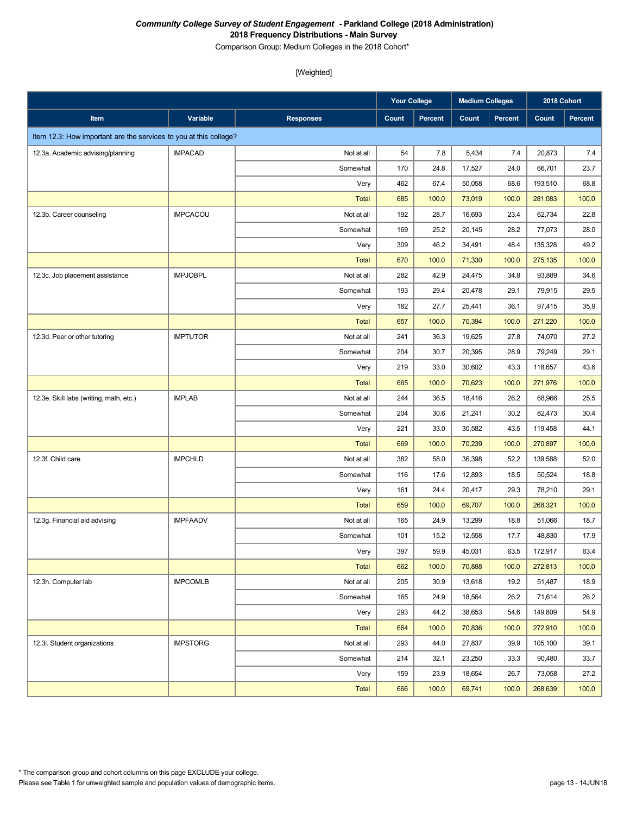Comparison Group: Medium Colleges in the 2018 Cohort\*

|                                                                   |                 |                  | <b>Your College</b> |         | <b>Medium Colleges</b> |                | 2018 Cohort |         |
|-------------------------------------------------------------------|-----------------|------------------|---------------------|---------|------------------------|----------------|-------------|---------|
| Item                                                              | Variable        | <b>Responses</b> | Count               | Percent | Count                  | <b>Percent</b> | Count       | Percent |
| Item 12.3: How important are the services to you at this college? |                 |                  |                     |         |                        |                |             |         |
| 12.3a. Academic advising/planning                                 | <b>IMPACAD</b>  | Not at all       | 54                  | 7.8     | 5,434                  | 7.4            | 20,873      | 7.4     |
|                                                                   |                 | Somewhat         | 170                 | 24.8    | 17,527                 | 24.0           | 66,701      | 23.7    |
|                                                                   |                 | Very             | 462                 | 67.4    | 50,058                 | 68.6           | 193,510     | 68.8    |
|                                                                   |                 | <b>Total</b>     | 685                 | 100.0   | 73,019                 | 100.0          | 281,083     | 100.0   |
| 12.3b. Career counseling                                          | <b>IMPCACOU</b> | Not at all       | 192                 | 28.7    | 16,693                 | 23.4           | 62,734      | 22.8    |
|                                                                   |                 | Somewhat         | 169                 | 25.2    | 20,145                 | 28.2           | 77,073      | 28.0    |
|                                                                   |                 | Very             | 309                 | 46.2    | 34,491                 | 48.4           | 135,328     | 49.2    |
|                                                                   |                 | <b>Total</b>     | 670                 | 100.0   | 71,330                 | 100.0          | 275,135     | 100.0   |
| 12.3c. Job placement assistance                                   | <b>IMPJOBPL</b> | Not at all       | 282                 | 42.9    | 24,475                 | 34.8           | 93,889      | 34.6    |
|                                                                   |                 | Somewhat         | 193                 | 29.4    | 20,478                 | 29.1           | 79,915      | 29.5    |
|                                                                   |                 | Very             | 182                 | 27.7    | 25,441                 | 36.1           | 97,415      | 35.9    |
|                                                                   |                 | <b>Total</b>     | 657                 | 100.0   | 70,394                 | 100.0          | 271,220     | 100.0   |
| 12.3d. Peer or other tutoring                                     | <b>IMPTUTOR</b> | Not at all       | 241                 | 36.3    | 19,625                 | 27.8           | 74,070      | 27.2    |
|                                                                   |                 | Somewhat         | 204                 | 30.7    | 20,395                 | 28.9           | 79,249      | 29.1    |
|                                                                   |                 | Very             | 219                 | 33.0    | 30,602                 | 43.3           | 118,657     | 43.6    |
|                                                                   |                 | <b>Total</b>     | 665                 | 100.0   | 70,623                 | 100.0          | 271,976     | 100.0   |
| 12.3e. Skill labs (writing, math, etc.)                           | <b>IMPLAB</b>   | Not at all       | 244                 | 36.5    | 18,416                 | 26.2           | 68,966      | 25.5    |
|                                                                   |                 | Somewhat         | 204                 | 30.6    | 21,241                 | 30.2           | 82,473      | 30.4    |
|                                                                   |                 | Very             | 221                 | 33.0    | 30,582                 | 43.5           | 119,458     | 44.1    |
|                                                                   |                 | <b>Total</b>     | 669                 | 100.0   | 70,239                 | 100.0          | 270,897     | 100.0   |
| 12.3f. Child care                                                 | <b>IMPCHLD</b>  | Not at all       | 382                 | 58.0    | 36,398                 | 52.2           | 139,588     | 52.0    |
|                                                                   |                 | Somewhat         | 116                 | 17.6    | 12,893                 | 18.5           | 50,524      | 18.8    |
|                                                                   |                 | Very             | 161                 | 24.4    | 20,417                 | 29.3           | 78,210      | 29.1    |
|                                                                   |                 | <b>Total</b>     | 659                 | 100.0   | 69,707                 | 100.0          | 268,321     | 100.0   |
| 12.3g. Financial aid advising                                     | <b>IMPFAADV</b> | Not at all       | 165                 | 24.9    | 13,299                 | 18.8           | 51,066      | 18.7    |
|                                                                   |                 | Somewhat         | 101                 | 15.2    | 12,558                 | 17.7           | 48,830      | 17.9    |
|                                                                   |                 | Very             | 397                 | 59.9    | 45,031                 | 63.5           | 172,917     | 63.4    |
|                                                                   |                 | <b>Total</b>     | 662                 | 100.0   | 70,888                 | 100.0          | 272,813     | 100.0   |
| 12.3h. Computer lab                                               | <b>IMPCOMLB</b> | Not at all       | 205                 | 30.9    | 13,618                 | 19.2           | 51,487      | 18.9    |
|                                                                   |                 | Somewhat         | 165                 | 24.9    | 18,564                 | 26.2           | 71,614      | 26.2    |
|                                                                   |                 | Very             | 293                 | 44.2    | 38,653                 | 54.6           | 149,809     | 54.9    |
|                                                                   |                 | <b>Total</b>     | 664                 | 100.0   | 70,836                 | 100.0          | 272,910     | 100.0   |
| 12.3i. Student organizations                                      | <b>IMPSTORG</b> | Not at all       | 293                 | 44.0    | 27,837                 | 39.9           | 105,100     | 39.1    |
|                                                                   |                 | Somewhat         | 214                 | 32.1    | 23,250                 | 33.3           | 90,480      | 33.7    |
|                                                                   |                 | Very             | 159                 | 23.9    | 18,654                 | 26.7           | 73,058      | 27.2    |
|                                                                   |                 | <b>Total</b>     | 666                 | 100.0   | 69,741                 | 100.0          | 268,639     | 100.0   |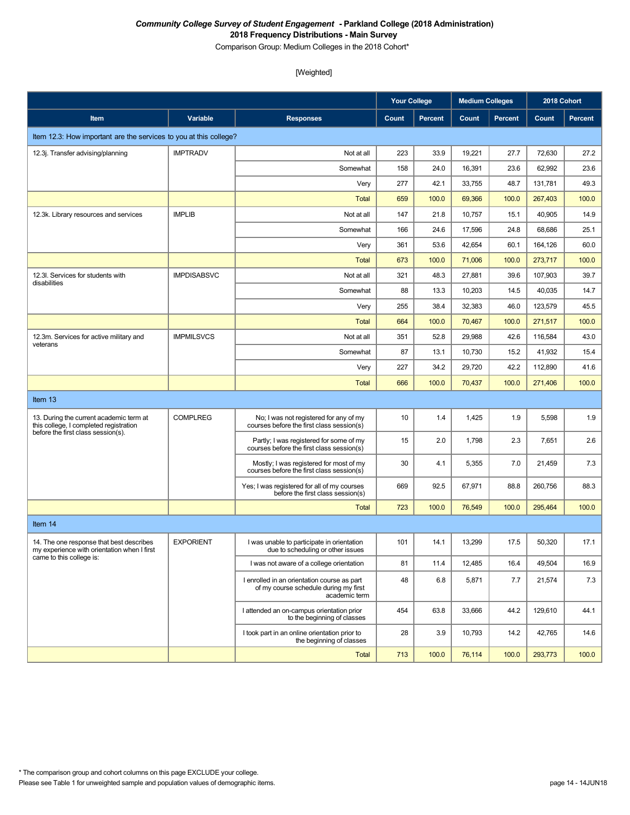Comparison Group: Medium Colleges in the 2018 Cohort\*

|                                                                                         |                    |                                                                                                       | <b>Your College</b> |         | <b>Medium Colleges</b> |                | 2018 Cohort |                |
|-----------------------------------------------------------------------------------------|--------------------|-------------------------------------------------------------------------------------------------------|---------------------|---------|------------------------|----------------|-------------|----------------|
| Item                                                                                    | <b>Variable</b>    | <b>Responses</b>                                                                                      | Count               | Percent | Count                  | <b>Percent</b> | Count       | <b>Percent</b> |
| Item 12.3: How important are the services to you at this college?                       |                    |                                                                                                       |                     |         |                        |                |             |                |
| 12.3j. Transfer advising/planning                                                       | <b>IMPTRADV</b>    | Not at all                                                                                            | 223                 | 33.9    | 19,221                 | 27.7           | 72,630      | 27.2           |
|                                                                                         |                    | Somewhat                                                                                              | 158                 | 24.0    | 16,391                 | 23.6           | 62,992      | 23.6           |
|                                                                                         |                    | Very                                                                                                  | 277                 | 42.1    | 33,755                 | 48.7           | 131,781     | 49.3           |
|                                                                                         |                    | Total                                                                                                 | 659                 | 100.0   | 69,366                 | 100.0          | 267,403     | 100.0          |
| 12.3k. Library resources and services                                                   | <b>IMPLIB</b>      | Not at all                                                                                            | 147                 | 21.8    | 10,757                 | 15.1           | 40,905      | 14.9           |
|                                                                                         |                    | Somewhat                                                                                              | 166                 | 24.6    | 17,596                 | 24.8           | 68,686      | 25.1           |
|                                                                                         |                    | Very                                                                                                  | 361                 | 53.6    | 42,654                 | 60.1           | 164,126     | 60.0           |
|                                                                                         |                    | <b>Total</b>                                                                                          | 673                 | 100.0   | 71,006                 | 100.0          | 273,717     | 100.0          |
| 12.3I. Services for students with<br>disabilities                                       | <b>IMPDISABSVC</b> | Not at all                                                                                            | 321                 | 48.3    | 27,881                 | 39.6           | 107,903     | 39.7           |
|                                                                                         |                    | Somewhat                                                                                              | 88                  | 13.3    | 10,203                 | 14.5           | 40,035      | 14.7           |
|                                                                                         |                    | Very                                                                                                  | 255                 | 38.4    | 32,383                 | 46.0           | 123,579     | 45.5           |
|                                                                                         |                    | <b>Total</b>                                                                                          | 664                 | 100.0   | 70,467                 | 100.0          | 271,517     | 100.0          |
| 12.3m. Services for active military and<br>veterans                                     | <b>IMPMILSVCS</b>  | Not at all                                                                                            | 351                 | 52.8    | 29,988                 | 42.6           | 116,584     | 43.0           |
|                                                                                         |                    | Somewhat                                                                                              | 87                  | 13.1    | 10,730                 | 15.2           | 41,932      | 15.4           |
|                                                                                         |                    | Very                                                                                                  | 227                 | 34.2    | 29,720                 | 42.2           | 112,890     | 41.6           |
|                                                                                         |                    | <b>Total</b>                                                                                          | 666                 | 100.0   | 70,437                 | 100.0          | 271,406     | 100.0          |
| Item 13                                                                                 |                    |                                                                                                       |                     |         |                        |                |             |                |
| 13. During the current academic term at<br>this college, I completed registration       | <b>COMPLREG</b>    | No; I was not registered for any of my<br>courses before the first class session(s)                   | 10                  | 1.4     | 1,425                  | 1.9            | 5,598       | 1.9            |
| before the first class session(s).                                                      |                    | Partly; I was registered for some of my<br>courses before the first class session(s)                  | 15                  | 2.0     | 1,798                  | 2.3            | 7,651       | 2.6            |
|                                                                                         |                    | Mostly; I was registered for most of my<br>courses before the first class session(s)                  | 30                  | 4.1     | 5,355                  | 7.0            | 21,459      | 7.3            |
|                                                                                         |                    | Yes; I was registered for all of my courses<br>before the first class session(s)                      | 669                 | 92.5    | 67,971                 | 88.8           | 260,756     | 88.3           |
|                                                                                         |                    | Total                                                                                                 | 723                 | 100.0   | 76,549                 | 100.0          | 295,464     | 100.0          |
| Item 14                                                                                 |                    |                                                                                                       |                     |         |                        |                |             |                |
| 14. The one response that best describes<br>my experience with orientation when I first | <b>EXPORIENT</b>   | I was unable to participate in orientation<br>due to scheduling or other issues                       | 101                 | 14.1    | 13,299                 | 17.5           | 50,320      | 17.1           |
| came to this college is:                                                                |                    | I was not aware of a college orientation                                                              | 81                  | 11.4    | 12,485                 | 16.4           | 49,504      | 16.9           |
|                                                                                         |                    | I enrolled in an orientation course as part<br>of my course schedule during my first<br>academic term | 48                  | 6.8     | 5,871                  | 7.7            | 21,574      | 7.3            |
|                                                                                         |                    | I attended an on-campus orientation prior<br>to the beginning of classes                              | 454                 | 63.8    | 33,666                 | 44.2           | 129,610     | 44.1           |
|                                                                                         |                    | I took part in an online orientation prior to<br>the beginning of classes                             | 28                  | 3.9     | 10,793                 | 14.2           | 42,765      | 14.6           |
|                                                                                         |                    | <b>Total</b>                                                                                          | 713                 | 100.0   | 76,114                 | 100.0          | 293,773     | 100.0          |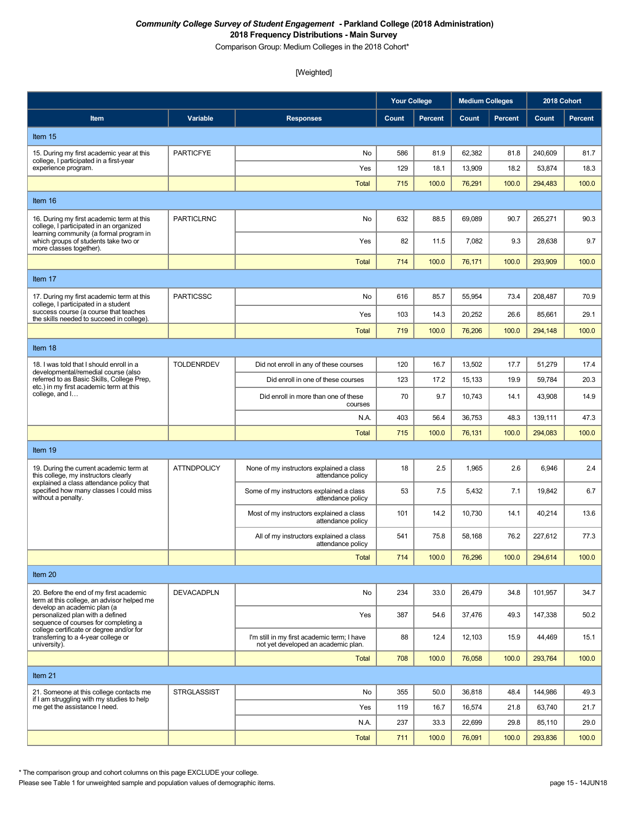Comparison Group: Medium Colleges in the 2018 Cohort\*

# [Weighted]

|                                                                                                                                                     |                    |                                                                                    | <b>Your College</b> |                | <b>Medium Colleges</b> |                | 2018 Cohort |                |
|-----------------------------------------------------------------------------------------------------------------------------------------------------|--------------------|------------------------------------------------------------------------------------|---------------------|----------------|------------------------|----------------|-------------|----------------|
| Item                                                                                                                                                | Variable           | <b>Responses</b>                                                                   | Count               | <b>Percent</b> | Count                  | <b>Percent</b> | Count       | <b>Percent</b> |
| Item 15                                                                                                                                             |                    |                                                                                    |                     |                |                        |                |             |                |
| 15. During my first academic year at this<br>college, I participated in a first-year                                                                | <b>PARTICFYE</b>   | No                                                                                 | 586                 | 81.9           | 62,382                 | 81.8           | 240.609     | 81.7           |
| experience program.                                                                                                                                 |                    | Yes                                                                                | 129                 | 18.1           | 13,909                 | 18.2           | 53,874      | 18.3           |
|                                                                                                                                                     |                    | <b>Total</b>                                                                       | 715                 | 100.0          | 76,291                 | 100.0          | 294,483     | 100.0          |
| Item 16                                                                                                                                             |                    |                                                                                    |                     |                |                        |                |             |                |
| 16. During my first academic term at this<br>college, I participated in an organized                                                                | <b>PARTICLRNC</b>  | No                                                                                 | 632                 | 88.5           | 69,089                 | 90.7           | 265,271     | 90.3           |
| learning community (a formal program in<br>which groups of students take two or<br>more classes together).                                          |                    | Yes                                                                                | 82                  | 11.5           | 7,082                  | 9.3            | 28,638      | 9.7            |
|                                                                                                                                                     |                    | <b>Total</b>                                                                       | 714                 | 100.0          | 76,171                 | 100.0          | 293,909     | 100.0          |
| Item 17                                                                                                                                             |                    |                                                                                    |                     |                |                        |                |             |                |
| 17. During my first academic term at this<br>college, I participated in a student                                                                   | <b>PARTICSSC</b>   | No                                                                                 | 616                 | 85.7           | 55,954                 | 73.4           | 208,487     | 70.9           |
| success course (a course that teaches<br>the skills needed to succeed in college).                                                                  |                    | Yes                                                                                | 103                 | 14.3           | 20,252                 | 26.6           | 85,661      | 29.1           |
|                                                                                                                                                     |                    | <b>Total</b>                                                                       | 719                 | 100.0          | 76,206                 | 100.0          | 294,148     | 100.0          |
| Item 18                                                                                                                                             |                    |                                                                                    |                     |                |                        |                |             |                |
| 18. I was told that I should enroll in a<br>developmental/remedial course (also                                                                     | <b>TOLDENRDEV</b>  | Did not enroll in any of these courses                                             | 120                 | 16.7           | 13,502                 | 17.7           | 51,279      | 17.4           |
| referred to as Basic Skills, College Prep,<br>etc.) in my first academic term at this                                                               |                    | Did enroll in one of these courses                                                 | 123                 | 17.2           | 15,133                 | 19.9           | 59,784      | 20.3           |
| college, and I                                                                                                                                      |                    | Did enroll in more than one of these<br>courses                                    | 70                  | 9.7            | 10,743                 | 14.1           | 43,908      | 14.9           |
|                                                                                                                                                     |                    | N.A.                                                                               | 403                 | 56.4           | 36,753                 | 48.3           | 139,111     | 47.3           |
|                                                                                                                                                     |                    | <b>Total</b>                                                                       | 715                 | 100.0          | 76,131                 | 100.0          | 294,083     | 100.0          |
| Item 19                                                                                                                                             |                    |                                                                                    |                     |                |                        |                |             |                |
| 19. During the current academic term at<br>this college, my instructors clearly<br>explained a class attendance policy that                         | <b>ATTNDPOLICY</b> | None of my instructors explained a class<br>attendance policy                      | 18                  | 2.5            | 1,965                  | 2.6            | 6,946       | 2.4            |
| specified how many classes I could miss<br>without a penalty.                                                                                       |                    | Some of my instructors explained a class<br>attendance policy                      | 53                  | 7.5            | 5,432                  | 7.1            | 19,842      | 6.7            |
|                                                                                                                                                     |                    | Most of my instructors explained a class<br>attendance policy                      | 101                 | 14.2           | 10,730                 | 14.1           | 40,214      | 13.6           |
|                                                                                                                                                     |                    | All of my instructors explained a class<br>attendance policy                       | 541                 | 75.8           | 58,168                 | 76.2           | 227,612     | 77.3           |
|                                                                                                                                                     |                    | <b>Total</b>                                                                       | 714                 | 100.0          | 76,296                 | 100.0          | 294,614     | 100.0          |
| Item 20                                                                                                                                             |                    |                                                                                    |                     |                |                        |                |             |                |
| 20. Before the end of my first academic<br>term at this college, an advisor helped me                                                               | <b>DEVACADPLN</b>  | No                                                                                 | 234                 | 33.0           | 26,479                 | 34.8           | 101,957     | 34.7           |
| develop an academic plan (a<br>personalized plan with a defined<br>sequence of courses for completing a<br>college certificate or degree and/or for |                    | Yes                                                                                | 387                 | 54.6           | 37,476                 | 49.3           | 147,338     | 50.2           |
| transferring to a 4-year college or<br>university).                                                                                                 |                    | I'm still in my first academic term: I have<br>not yet developed an academic plan. | 88                  | 12.4           | 12,103                 | 15.9           | 44,469      | 15.1           |
|                                                                                                                                                     |                    | <b>Total</b>                                                                       | 708                 | 100.0          | 76,058                 | 100.0          | 293,764     | 100.0          |
| Item 21                                                                                                                                             |                    |                                                                                    |                     |                |                        |                |             |                |
| 21. Someone at this college contacts me<br>if I am struggling with my studies to help                                                               | <b>STRGLASSIST</b> | No                                                                                 | 355                 | 50.0           | 36,818                 | 48.4           | 144,986     | 49.3           |
| me get the assistance I need.                                                                                                                       |                    | Yes                                                                                | 119                 | 16.7           | 16,574                 | 21.8           | 63,740      | 21.7           |
|                                                                                                                                                     |                    | N.A.                                                                               | 237                 | 33.3           | 22,699                 | 29.8           | 85,110      | 29.0           |
|                                                                                                                                                     |                    | <b>Total</b>                                                                       | 711                 | 100.0          | 76,091                 | 100.0          | 293,836     | 100.0          |

\* The comparison group and cohort columns on this page EXCLUDE your college.

Please see Table 1 for unweighted sample and population values of demographic items.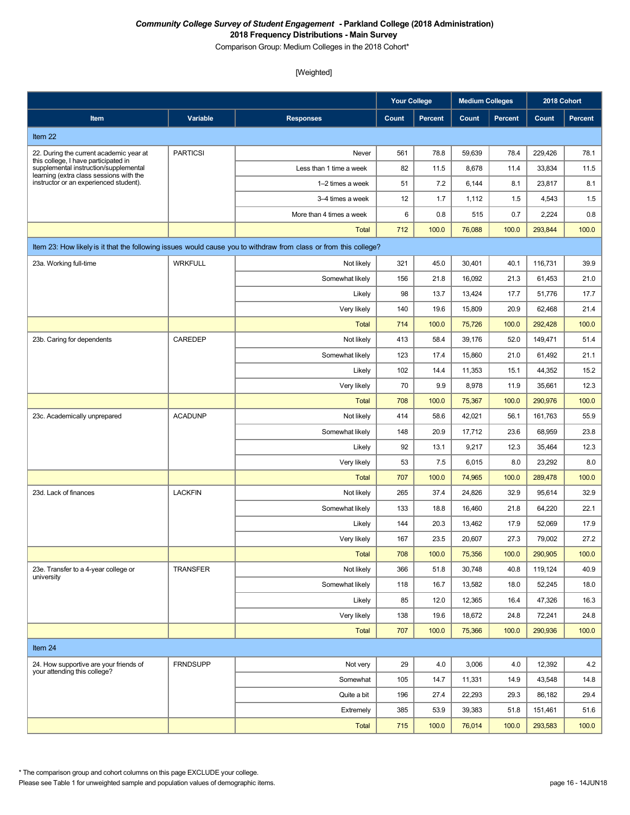Comparison Group: Medium Colleges in the 2018 Cohort\*

#### [Weighted]

|                                                                                   |                 |                                                                                                                  | <b>Your College</b> |                | <b>Medium Colleges</b> |                | 2018 Cohort |         |
|-----------------------------------------------------------------------------------|-----------------|------------------------------------------------------------------------------------------------------------------|---------------------|----------------|------------------------|----------------|-------------|---------|
| Item                                                                              | Variable        | <b>Responses</b>                                                                                                 | Count               | <b>Percent</b> | Count                  | <b>Percent</b> | Count       | Percent |
| Item 22                                                                           |                 |                                                                                                                  |                     |                |                        |                |             |         |
| 22. During the current academic year at                                           | <b>PARTICSI</b> | Never                                                                                                            | 561                 | 78.8           | 59,639                 | 78.4           | 229,426     | 78.1    |
| this college, I have participated in<br>supplemental instruction/supplemental     |                 | Less than 1 time a week                                                                                          | 82                  | 11.5           | 8,678                  | 11.4           | 33,834      | 11.5    |
| learning (extra class sessions with the<br>instructor or an experienced student). |                 | 1-2 times a week                                                                                                 | 51                  | 7.2            | 6,144                  | 8.1            | 23,817      | 8.1     |
|                                                                                   |                 | 3-4 times a week                                                                                                 | 12                  | 1.7            | 1,112                  | 1.5            | 4,543       | 1.5     |
|                                                                                   |                 | More than 4 times a week                                                                                         | 6                   | 0.8            | 515                    | 0.7            | 2,224       | 0.8     |
|                                                                                   |                 | <b>Total</b>                                                                                                     | 712                 | 100.0          | 76,088                 | 100.0          | 293,844     | 100.0   |
|                                                                                   |                 | Item 23: How likely is it that the following issues would cause you to withdraw from class or from this college? |                     |                |                        |                |             |         |
| 23a. Working full-time                                                            | <b>WRKFULL</b>  | Not likely                                                                                                       | 321                 | 45.0           | 30,401                 | 40.1           | 116,731     | 39.9    |
|                                                                                   |                 | Somewhat likely                                                                                                  | 156                 | 21.8           | 16,092                 | 21.3           | 61,453      | 21.0    |
|                                                                                   |                 | Likely                                                                                                           | 98                  | 13.7           | 13,424                 | 17.7           | 51,776      | 17.7    |
|                                                                                   |                 | Very likely                                                                                                      | 140                 | 19.6           | 15,809                 | 20.9           | 62,468      | 21.4    |
|                                                                                   |                 | <b>Total</b>                                                                                                     | 714                 | 100.0          | 75,726                 | 100.0          | 292,428     | 100.0   |
| 23b. Caring for dependents                                                        | CAREDEP         | Not likely                                                                                                       | 413                 | 58.4           | 39,176                 | 52.0           | 149,471     | 51.4    |
|                                                                                   |                 | Somewhat likely                                                                                                  | 123                 | 17.4           | 15,860                 | 21.0           | 61,492      | 21.1    |
|                                                                                   |                 | Likely                                                                                                           | 102                 | 14.4           | 11,353                 | 15.1           | 44,352      | 15.2    |
|                                                                                   |                 | Very likely                                                                                                      | 70                  | 9.9            | 8,978                  | 11.9           | 35,661      | 12.3    |
|                                                                                   |                 | <b>Total</b>                                                                                                     | 708                 | 100.0          | 75,367                 | 100.0          | 290,976     | 100.0   |
| 23c. Academically unprepared                                                      | <b>ACADUNP</b>  | Not likely                                                                                                       | 414                 | 58.6           | 42,021                 | 56.1           | 161,763     | 55.9    |
|                                                                                   |                 | Somewhat likely                                                                                                  | 148                 | 20.9           | 17,712                 | 23.6           | 68,959      | 23.8    |
|                                                                                   |                 | Likely                                                                                                           | 92                  | 13.1           | 9,217                  | 12.3           | 35,464      | 12.3    |
|                                                                                   |                 | Very likely                                                                                                      | 53                  | 7.5            | 6,015                  | 8.0            | 23,292      | 8.0     |
|                                                                                   |                 | <b>Total</b>                                                                                                     | 707                 | 100.0          | 74,965                 | 100.0          | 289,478     | 100.0   |
| 23d. Lack of finances                                                             | <b>LACKFIN</b>  | Not likely                                                                                                       | 265                 | 37.4           | 24,826                 | 32.9           | 95,614      | 32.9    |
|                                                                                   |                 | Somewhat likely                                                                                                  | 133                 | 18.8           | 16,460                 | 21.8           | 64,220      | 22.1    |
|                                                                                   |                 | Likely                                                                                                           | 144                 | 20.3           | 13,462                 | 17.9           | 52,069      | 17.9    |
|                                                                                   |                 | Very likely                                                                                                      | 167                 | 23.5           | 20,607                 | 27.3           | 79,002      | 27.2    |
|                                                                                   |                 | <b>Total</b>                                                                                                     | 708                 | 100.0          | 75,356                 | 100.0          | 290,905     | 100.0   |
| 23e. Transfer to a 4-year college or                                              | <b>TRANSFER</b> | Not likely                                                                                                       | 366                 | 51.8           | 30,748                 | 40.8           | 119,124     | 40.9    |
| university                                                                        |                 | Somewhat likely                                                                                                  | 118                 | 16.7           | 13,582                 | 18.0           | 52,245      | 18.0    |
|                                                                                   |                 | Likely                                                                                                           | 85                  | 12.0           | 12,365                 | 16.4           | 47,326      | 16.3    |
|                                                                                   |                 | Very likely                                                                                                      | 138                 | 19.6           | 18,672                 | 24.8           | 72,241      | 24.8    |
|                                                                                   |                 | <b>Total</b>                                                                                                     | 707                 | 100.0          | 75,366                 | 100.0          | 290,936     | 100.0   |
| Item 24                                                                           |                 |                                                                                                                  |                     |                |                        |                |             |         |
| 24. How supportive are your friends of<br>your attending this college?            | <b>FRNDSUPP</b> | Not very                                                                                                         | 29                  | 4.0            | 3,006                  | 4.0            | 12,392      | 4.2     |
|                                                                                   |                 | Somewhat                                                                                                         | 105                 | 14.7           | 11,331                 | 14.9           | 43,548      | 14.8    |
|                                                                                   |                 | Quite a bit                                                                                                      | 196                 | 27.4           | 22,293                 | 29.3           | 86,182      | 29.4    |
|                                                                                   |                 | Extremely                                                                                                        | 385                 | 53.9           | 39,383                 | 51.8           | 151,461     | 51.6    |
|                                                                                   |                 | <b>Total</b>                                                                                                     | 715                 | 100.0          | 76,014                 | 100.0          | 293,583     | 100.0   |

\* The comparison group and cohort columns on this page EXCLUDE your college.

Please see Table 1 for unweighted sample and population values of demographic items.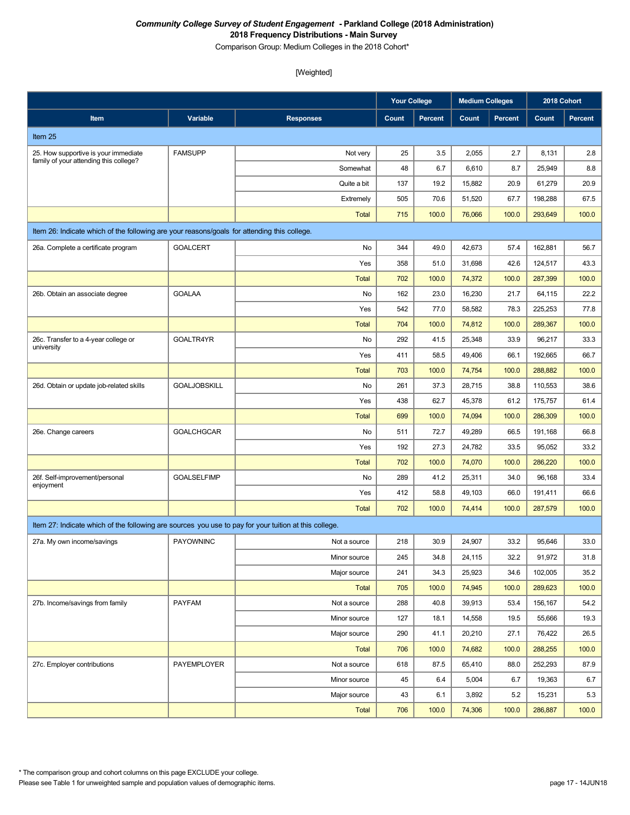Comparison Group: Medium Colleges in the 2018 Cohort\*

|                                                                                                       |                     |                  | <b>Your College</b> |                | <b>Medium Colleges</b> |                | 2018 Cohort |                |
|-------------------------------------------------------------------------------------------------------|---------------------|------------------|---------------------|----------------|------------------------|----------------|-------------|----------------|
| Item                                                                                                  | Variable            | <b>Responses</b> | Count               | <b>Percent</b> | Count                  | <b>Percent</b> | Count       | <b>Percent</b> |
| Item 25                                                                                               |                     |                  |                     |                |                        |                |             |                |
| 25. How supportive is your immediate                                                                  | <b>FAMSUPP</b>      | Not very         | 25                  | 3.5            | 2,055                  | 2.7            | 8,131       | 2.8            |
| family of your attending this college?                                                                |                     | Somewhat         | 48                  | 6.7            | 6,610                  | 8.7            | 25,949      | 8.8            |
|                                                                                                       |                     | Quite a bit      | 137                 | 19.2           | 15,882                 | 20.9           | 61,279      | 20.9           |
|                                                                                                       |                     | Extremely        | 505                 | 70.6           | 51,520                 | 67.7           | 198,288     | 67.5           |
|                                                                                                       |                     | <b>Total</b>     | 715                 | 100.0          | 76,066                 | 100.0          | 293,649     | 100.0          |
| Item 26: Indicate which of the following are your reasons/goals for attending this college.           |                     |                  |                     |                |                        |                |             |                |
| 26a. Complete a certificate program                                                                   | <b>GOALCERT</b>     | No               | 344                 | 49.0           | 42,673                 | 57.4           | 162,881     | 56.7           |
|                                                                                                       |                     | Yes              | 358                 | 51.0           | 31,698                 | 42.6           | 124,517     | 43.3           |
|                                                                                                       |                     | <b>Total</b>     | 702                 | 100.0          | 74,372                 | 100.0          | 287,399     | 100.0          |
| 26b. Obtain an associate degree                                                                       | <b>GOALAA</b>       | No               | 162                 | 23.0           | 16,230                 | 21.7           | 64,115      | 22.2           |
|                                                                                                       |                     | Yes              | 542                 | 77.0           | 58,582                 | 78.3           | 225,253     | 77.8           |
|                                                                                                       |                     | <b>Total</b>     | 704                 | 100.0          | 74,812                 | 100.0          | 289.367     | 100.0          |
| 26c. Transfer to a 4-year college or<br>university                                                    | GOALTR4YR           | No               | 292                 | 41.5           | 25,348                 | 33.9           | 96,217      | 33.3           |
|                                                                                                       |                     | Yes              | 411                 | 58.5           | 49,406                 | 66.1           | 192.665     | 66.7           |
|                                                                                                       |                     | <b>Total</b>     | 703                 | 100.0          | 74,754                 | 100.0          | 288,882     | 100.0          |
| 26d. Obtain or update job-related skills                                                              | <b>GOALJOBSKILL</b> | No               | 261                 | 37.3           | 28,715                 | 38.8           | 110,553     | 38.6           |
|                                                                                                       |                     | Yes              | 438                 | 62.7           | 45,378                 | 61.2           | 175,757     | 61.4           |
|                                                                                                       |                     | <b>Total</b>     | 699                 | 100.0          | 74,094                 | 100.0          | 286,309     | 100.0          |
| 26e. Change careers                                                                                   | <b>GOALCHGCAR</b>   | No               | 511                 | 72.7           | 49,289                 | 66.5           | 191,168     | 66.8           |
|                                                                                                       |                     | Yes              | 192                 | 27.3           | 24,782                 | 33.5           | 95,052      | 33.2           |
|                                                                                                       |                     | <b>Total</b>     | 702                 | 100.0          | 74,070                 | 100.0          | 286,220     | 100.0          |
| 26f. Self-improvement/personal<br>enjoyment                                                           | <b>GOALSELFIMP</b>  | No               | 289                 | 41.2           | 25,311                 | 34.0           | 96,168      | 33.4           |
|                                                                                                       |                     | Yes              | 412                 | 58.8           | 49,103                 | 66.0           | 191,411     | 66.6           |
|                                                                                                       |                     | <b>Total</b>     | 702                 | 100.0          | 74,414                 | 100.0          | 287,579     | 100.0          |
| Item 27: Indicate which of the following are sources you use to pay for your tuition at this college. |                     |                  |                     |                |                        |                |             |                |
| 27a. My own income/savings                                                                            | <b>PAYOWNINC</b>    | Not a source     | 218                 | 30.9           | 24,907                 | 33.2           | 95,646      | 33.0           |
|                                                                                                       |                     | Minor source     | 245                 | 34.8           | 24,115                 | 32.2           | 91,972      | 31.8           |
|                                                                                                       |                     | Major source     | 241                 | 34.3           | 25,923                 | 34.6           | 102,005     | 35.2           |
|                                                                                                       |                     | Total            | 705                 | 100.0          | 74,945                 | 100.0          | 289,623     | 100.0          |
| 27b. Income/savings from family                                                                       | <b>PAYFAM</b>       | Not a source     | 288                 | 40.8           | 39,913                 | 53.4           | 156,167     | 54.2           |
|                                                                                                       |                     | Minor source     | 127                 | 18.1           | 14,558                 | 19.5           | 55,666      | 19.3           |
|                                                                                                       |                     | Major source     | 290                 | 41.1           | 20,210                 | 27.1           | 76,422      | 26.5           |
|                                                                                                       |                     | <b>Total</b>     | 706                 | 100.0          | 74,682                 | 100.0          | 288,255     | 100.0          |
| 27c. Employer contributions                                                                           | PAYEMPLOYER         | Not a source     | 618                 | 87.5           | 65,410                 | 88.0           | 252,293     | 87.9           |
|                                                                                                       |                     | Minor source     | 45                  | 6.4            | 5,004                  | 6.7            | 19,363      | 6.7            |
|                                                                                                       |                     | Major source     | 43                  | 6.1            | 3,892                  | 5.2            | 15,231      | 5.3            |
|                                                                                                       |                     | Total            | 706                 | 100.0          | 74,306                 | 100.0          | 286,887     | 100.0          |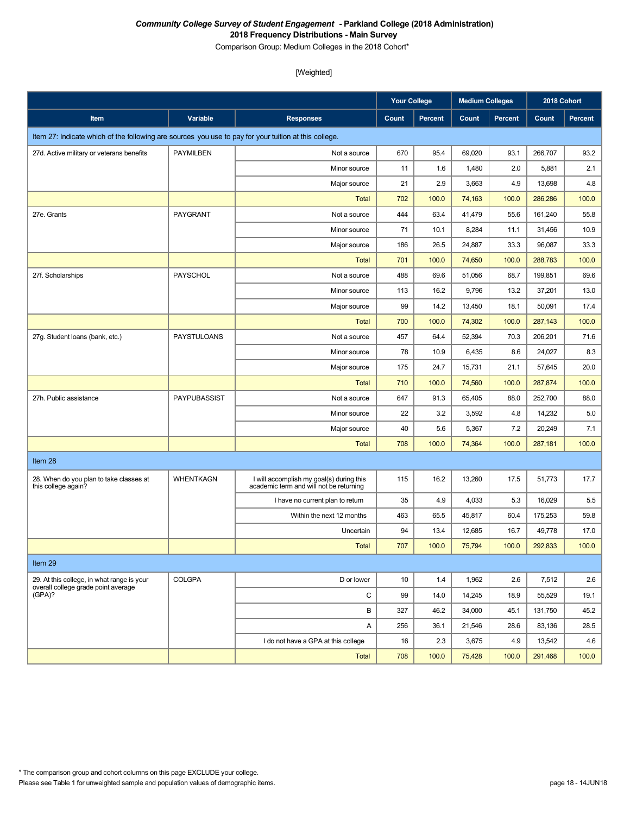Comparison Group: Medium Colleges in the 2018 Cohort\*

|                                                                                                       |                    |                                                                                     | <b>Your College</b> |                | <b>Medium Colleges</b> |                | 2018 Cohort |                |
|-------------------------------------------------------------------------------------------------------|--------------------|-------------------------------------------------------------------------------------|---------------------|----------------|------------------------|----------------|-------------|----------------|
| Item                                                                                                  | Variable           | <b>Responses</b>                                                                    | Count               | <b>Percent</b> | Count                  | <b>Percent</b> | Count       | <b>Percent</b> |
| Item 27: Indicate which of the following are sources you use to pay for your tuition at this college. |                    |                                                                                     |                     |                |                        |                |             |                |
| 27d. Active military or veterans benefits                                                             | PAYMILBEN          | Not a source                                                                        | 670                 | 95.4           | 69,020                 | 93.1           | 266,707     | 93.2           |
|                                                                                                       |                    | Minor source                                                                        | 11                  | 1.6            | 1,480                  | 2.0            | 5,881       | 2.1            |
|                                                                                                       |                    | Major source                                                                        | 21                  | 2.9            | 3,663                  | 4.9            | 13,698      | 4.8            |
|                                                                                                       |                    | <b>Total</b>                                                                        | 702                 | 100.0          | 74,163                 | 100.0          | 286,286     | 100.0          |
| 27e. Grants                                                                                           | PAYGRANT           | Not a source                                                                        | 444                 | 63.4           | 41,479                 | 55.6           | 161,240     | 55.8           |
|                                                                                                       |                    | Minor source                                                                        | 71                  | 10.1           | 8,284                  | 11.1           | 31,456      | 10.9           |
|                                                                                                       |                    | Major source                                                                        | 186                 | 26.5           | 24,887                 | 33.3           | 96,087      | 33.3           |
|                                                                                                       |                    | <b>Total</b>                                                                        | 701                 | 100.0          | 74,650                 | 100.0          | 288,783     | 100.0          |
| 27f. Scholarships                                                                                     | PAYSCHOL           | Not a source                                                                        | 488                 | 69.6           | 51,056                 | 68.7           | 199,851     | 69.6           |
|                                                                                                       |                    | Minor source                                                                        | 113                 | 16.2           | 9,796                  | 13.2           | 37,201      | 13.0           |
|                                                                                                       |                    | Major source                                                                        | 99                  | 14.2           | 13,450                 | 18.1           | 50,091      | 17.4           |
|                                                                                                       |                    | <b>Total</b>                                                                        | 700                 | 100.0          | 74,302                 | 100.0          | 287,143     | 100.0          |
| 27g. Student loans (bank, etc.)                                                                       | <b>PAYSTULOANS</b> | Not a source                                                                        | 457                 | 64.4           | 52,394                 | 70.3           | 206,201     | 71.6           |
|                                                                                                       |                    | Minor source                                                                        | 78                  | 10.9           | 6,435                  | 8.6            | 24,027      | 8.3            |
|                                                                                                       |                    | Major source                                                                        | 175                 | 24.7           | 15,731                 | 21.1           | 57,645      | 20.0           |
|                                                                                                       |                    | <b>Total</b>                                                                        | 710                 | 100.0          | 74,560                 | 100.0          | 287,874     | 100.0          |
| 27h. Public assistance                                                                                | PAYPUBASSIST       | Not a source                                                                        | 647                 | 91.3           | 65,405                 | 88.0           | 252,700     | 88.0           |
|                                                                                                       |                    | Minor source                                                                        | 22                  | 3.2            | 3,592                  | 4.8            | 14,232      | 5.0            |
|                                                                                                       |                    | Major source                                                                        | 40                  | 5.6            | 5,367                  | 7.2            | 20,249      | 7.1            |
|                                                                                                       |                    | <b>Total</b>                                                                        | 708                 | 100.0          | 74,364                 | 100.0          | 287,181     | 100.0          |
| Item 28                                                                                               |                    |                                                                                     |                     |                |                        |                |             |                |
| 28. When do you plan to take classes at<br>this college again?                                        | <b>WHENTKAGN</b>   | I will accomplish my goal(s) during this<br>academic term and will not be returning | 115                 | 16.2           | 13,260                 | 17.5           | 51,773      | 17.7           |
|                                                                                                       |                    | I have no current plan to return                                                    | 35                  | 4.9            | 4,033                  | 5.3            | 16,029      | 5.5            |
|                                                                                                       |                    | Within the next 12 months                                                           | 463                 | 65.5           | 45,817                 | 60.4           | 175,253     | 59.8           |
|                                                                                                       |                    | Uncertain                                                                           | 94                  | 13.4           | 12,685                 | 16.7           | 49,778      | 17.0           |
|                                                                                                       |                    | <b>Total</b>                                                                        | 707                 | 100.0          | 75,794                 | 100.0          | 292,833     | 100.0          |
| Item 29                                                                                               |                    |                                                                                     |                     |                |                        |                |             |                |
| 29. At this college, in what range is your                                                            | <b>COLGPA</b>      | D or lower                                                                          | 10                  | 1.4            | 1,962                  | 2.6            | 7,512       | 2.6            |
| overall college grade point average<br>(GPA)?                                                         |                    | C                                                                                   | 99                  | 14.0           | 14,245                 | 18.9           | 55,529      | 19.1           |
|                                                                                                       |                    | В                                                                                   | 327                 | 46.2           | 34,000                 | 45.1           | 131,750     | 45.2           |
|                                                                                                       |                    | Α                                                                                   | 256                 | 36.1           | 21,546                 | 28.6           | 83,136      | 28.5           |
|                                                                                                       |                    | I do not have a GPA at this college                                                 | 16                  | 2.3            | 3,675                  | 4.9            | 13,542      | 4.6            |
|                                                                                                       |                    | Total                                                                               | 708                 | 100.0          | 75,428                 | 100.0          | 291,468     | 100.0          |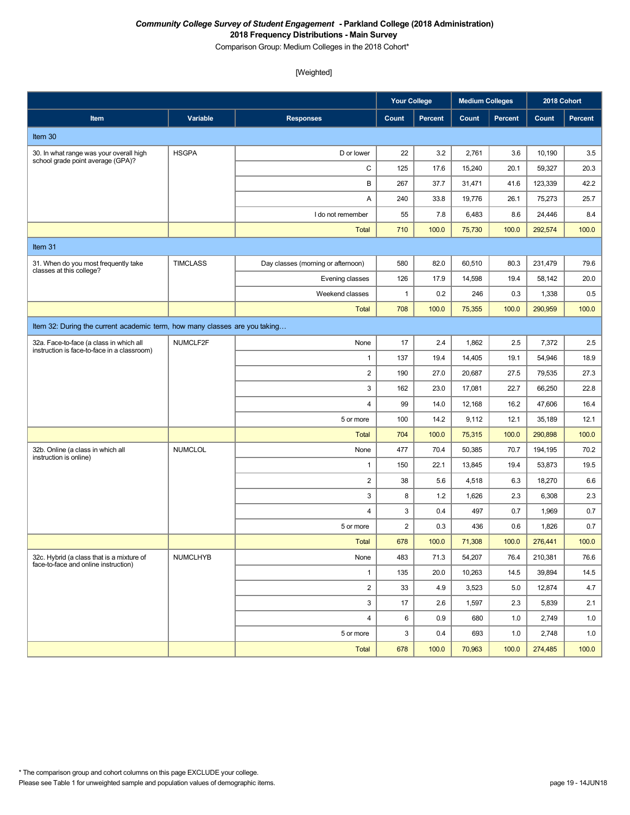Comparison Group: Medium Colleges in the 2018 Cohort\*

|                                                                                        |                 |                                    | <b>Your College</b> |         | <b>Medium Colleges</b> |                | 2018 Cohort |                |
|----------------------------------------------------------------------------------------|-----------------|------------------------------------|---------------------|---------|------------------------|----------------|-------------|----------------|
| Item                                                                                   | Variable        | <b>Responses</b>                   | Count               | Percent | Count                  | <b>Percent</b> | Count       | <b>Percent</b> |
| Item 30                                                                                |                 |                                    |                     |         |                        |                |             |                |
| 30. In what range was your overall high<br>school grade point average (GPA)?           | <b>HSGPA</b>    | D or lower                         | 22                  | 3.2     | 2,761                  | 3.6            | 10,190      | 3.5            |
|                                                                                        |                 | C                                  | 125                 | 17.6    | 15,240                 | 20.1           | 59,327      | 20.3           |
|                                                                                        |                 | В                                  | 267                 | 37.7    | 31,471                 | 41.6           | 123,339     | 42.2           |
|                                                                                        |                 | Α                                  | 240                 | 33.8    | 19,776                 | 26.1           | 75,273      | 25.7           |
|                                                                                        |                 | I do not remember                  | 55                  | 7.8     | 6,483                  | 8.6            | 24,446      | 8.4            |
|                                                                                        |                 | <b>Total</b>                       | 710                 | 100.0   | 75,730                 | 100.0          | 292,574     | 100.0          |
| Item 31                                                                                |                 |                                    |                     |         |                        |                |             |                |
| 31. When do you most frequently take                                                   | <b>TIMCLASS</b> | Day classes (morning or afternoon) | 580                 | 82.0    | 60,510                 | 80.3           | 231,479     | 79.6           |
| classes at this college?                                                               |                 | Evening classes                    | 126                 | 17.9    | 14,598                 | 19.4           | 58,142      | 20.0           |
|                                                                                        |                 | Weekend classes                    | $\mathbf{1}$        | 0.2     | 246                    | 0.3            | 1,338       | 0.5            |
|                                                                                        |                 | <b>Total</b>                       | 708                 | 100.0   | 75,355                 | 100.0          | 290,959     | 100.0          |
| Item 32: During the current academic term, how many classes are you taking             |                 |                                    |                     |         |                        |                |             |                |
| 32a. Face-to-face (a class in which all<br>instruction is face-to-face in a classroom) | NUMCLF2F        | None                               | 17                  | 2.4     | 1,862                  | 2.5            | 7,372       | 2.5            |
|                                                                                        |                 | $\mathbf{1}$                       | 137                 | 19.4    | 14,405                 | 19.1           | 54,946      | 18.9           |
|                                                                                        |                 | $\overline{2}$                     | 190                 | 27.0    | 20,687                 | 27.5           | 79,535      | 27.3           |
|                                                                                        |                 | 3                                  | 162                 | 23.0    | 17,081                 | 22.7           | 66,250      | 22.8           |
|                                                                                        |                 | 4                                  | 99                  | 14.0    | 12,168                 | 16.2           | 47,606      | 16.4           |
|                                                                                        |                 | 5 or more                          | 100                 | 14.2    | 9,112                  | 12.1           | 35,189      | 12.1           |
|                                                                                        |                 | <b>Total</b>                       | 704                 | 100.0   | 75,315                 | 100.0          | 290,898     | 100.0          |
| 32b. Online (a class in which all<br>instruction is online)                            | <b>NUMCLOL</b>  | None                               | 477                 | 70.4    | 50,385                 | 70.7           | 194,195     | 70.2           |
|                                                                                        |                 | $\mathbf{1}$                       | 150                 | 22.1    | 13,845                 | 19.4           | 53,873      | 19.5           |
|                                                                                        |                 | $\overline{2}$                     | 38                  | 5.6     | 4,518                  | 6.3            | 18,270      | 6.6            |
|                                                                                        |                 | 3                                  | 8                   | 1.2     | 1,626                  | 2.3            | 6,308       | 2.3            |
|                                                                                        |                 | $\overline{4}$                     | 3                   | 0.4     | 497                    | 0.7            | 1,969       | 0.7            |
|                                                                                        |                 | 5 or more                          | $\overline{2}$      | 0.3     | 436                    | 0.6            | 1,826       | 0.7            |
|                                                                                        |                 | <b>Total</b>                       | 678                 | 100.0   | 71,308                 | 100.0          | 276,441     | 100.0          |
| 32c. Hybrid (a class that is a mixture of<br>face-to-face and online instruction)      | <b>NUMCLHYB</b> | None                               | 483                 | 71.3    | 54,207                 | 76.4           | 210,381     | 76.6           |
|                                                                                        |                 | $\mathbf{1}$                       | 135                 | 20.0    | 10,263                 | 14.5           | 39,894      | 14.5           |
|                                                                                        |                 | $\overline{\mathbf{c}}$            | 33                  | 4.9     | 3,523                  | 5.0            | 12,874      | 4.7            |
|                                                                                        |                 | 3                                  | 17                  | 2.6     | 1,597                  | 2.3            | 5,839       | 2.1            |
|                                                                                        |                 | $\overline{4}$                     | 6                   | 0.9     | 680                    | 1.0            | 2,749       | 1.0            |
|                                                                                        |                 | 5 or more                          | 3                   | 0.4     | 693                    | 1.0            | 2,748       | 1.0            |
|                                                                                        |                 | Total                              | 678                 | 100.0   | 70,963                 | 100.0          | 274,485     | 100.0          |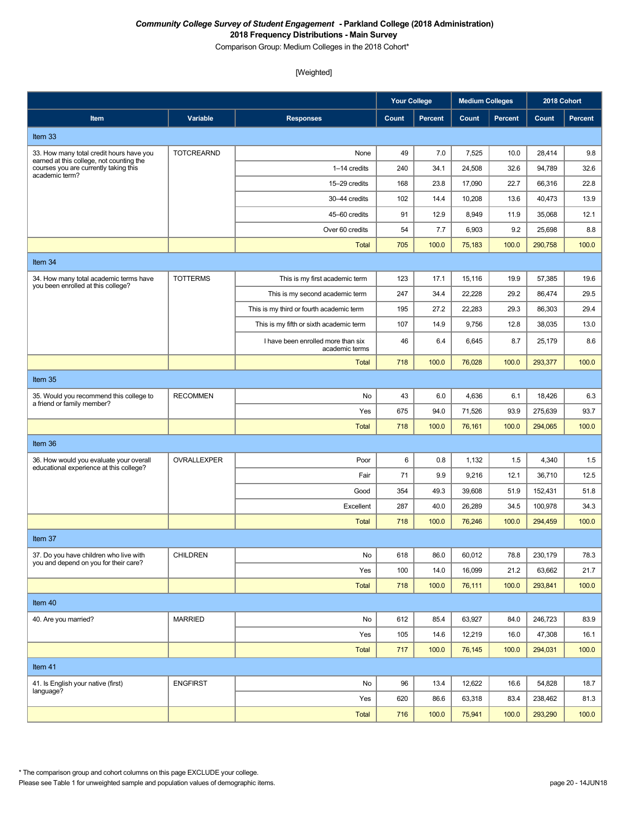Comparison Group: Medium Colleges in the 2018 Cohort\*

|                                                                                   |                   |                                                      | <b>Your College</b> |                | <b>Medium Colleges</b> |                | 2018 Cohort |                |
|-----------------------------------------------------------------------------------|-------------------|------------------------------------------------------|---------------------|----------------|------------------------|----------------|-------------|----------------|
| Item                                                                              | Variable          | <b>Responses</b>                                     | Count               | <b>Percent</b> | Count                  | <b>Percent</b> | Count       | <b>Percent</b> |
| Item 33                                                                           |                   |                                                      |                     |                |                        |                |             |                |
| 33. How many total credit hours have you                                          | <b>TOTCREARND</b> | None                                                 | 49                  | 7.0            | 7,525                  | 10.0           | 28,414      | 9.8            |
| earned at this college, not counting the<br>courses you are currently taking this |                   | 1-14 credits                                         | 240                 | 34.1           | 24,508                 | 32.6           | 94,789      | 32.6           |
| academic term?                                                                    |                   | 15-29 credits                                        | 168                 | 23.8           | 17,090                 | 22.7           | 66,316      | 22.8           |
|                                                                                   |                   | 30-44 credits                                        | 102                 | 14.4           | 10,208                 | 13.6           | 40,473      | 13.9           |
|                                                                                   |                   | 45-60 credits                                        | 91                  | 12.9           | 8,949                  | 11.9           | 35,068      | 12.1           |
|                                                                                   |                   | Over 60 credits                                      | 54                  | 7.7            | 6,903                  | 9.2            | 25,698      | 8.8            |
|                                                                                   |                   | <b>Total</b>                                         | 705                 | 100.0          | 75,183                 | 100.0          | 290,758     | 100.0          |
| Item 34                                                                           |                   |                                                      |                     |                |                        |                |             |                |
| 34. How many total academic terms have<br>you been enrolled at this college?      | <b>TOTTERMS</b>   | This is my first academic term                       | 123                 | 17.1           | 15,116                 | 19.9           | 57,385      | 19.6           |
|                                                                                   |                   | This is my second academic term                      | 247                 | 34.4           | 22,228                 | 29.2           | 86,474      | 29.5           |
|                                                                                   |                   | This is my third or fourth academic term             | 195                 | 27.2           | 22,283                 | 29.3           | 86,303      | 29.4           |
|                                                                                   |                   | This is my fifth or sixth academic term              | 107                 | 14.9           | 9,756                  | 12.8           | 38,035      | 13.0           |
|                                                                                   |                   | I have been enrolled more than six<br>academic terms | 46                  | 6.4            | 6,645                  | 8.7            | 25,179      | 8.6            |
|                                                                                   |                   | <b>Total</b>                                         | 718                 | 100.0          | 76,028                 | 100.0          | 293,377     | 100.0          |
| Item 35                                                                           |                   |                                                      |                     |                |                        |                |             |                |
| 35. Would you recommend this college to<br>a friend or family member?             | <b>RECOMMEN</b>   | No                                                   | 43                  | 6.0            | 4,636                  | 6.1            | 18,426      | 6.3            |
|                                                                                   |                   | Yes                                                  | 675                 | 94.0           | 71,526                 | 93.9           | 275,639     | 93.7           |
|                                                                                   |                   | <b>Total</b>                                         | 718                 | 100.0          | 76,161                 | 100.0          | 294,065     | 100.0          |
| Item 36                                                                           |                   |                                                      |                     |                |                        |                |             |                |
| 36. How would you evaluate your overall                                           | OVRALLEXPER       | Poor                                                 | 6                   | 0.8            | 1,132                  | 1.5            | 4,340       | 1.5            |
| educational experience at this college?                                           |                   | Fair                                                 | 71                  | 9.9            | 9,216                  | 12.1           | 36,710      | 12.5           |
|                                                                                   |                   | Good                                                 | 354                 | 49.3           | 39,608                 | 51.9           | 152,431     | 51.8           |
|                                                                                   |                   | Excellent                                            | 287                 | 40.0           | 26,289                 | 34.5           | 100,978     | 34.3           |
|                                                                                   |                   | Total                                                | 718                 | 100.0          | 76,246                 | 100.0          | 294,459     | 100.0          |
| Item 37                                                                           |                   |                                                      |                     |                |                        |                |             |                |
| 37. Do you have children who live with<br>you and depend on you for their care?   | <b>CHILDREN</b>   | No                                                   | 618                 | 86.0           | 60,012                 | 78.8           | 230,179     | 78.3           |
|                                                                                   |                   | Yes                                                  | 100                 | 14.0           | 16,099                 | 21.2           | 63,662      | 21.7           |
|                                                                                   |                   | <b>Total</b>                                         | 718                 | 100.0          | 76,111                 | 100.0          | 293,841     | 100.0          |
| Item 40                                                                           |                   |                                                      |                     |                |                        |                |             |                |
| 40. Are you married?                                                              | <b>MARRIED</b>    | No                                                   | 612                 | 85.4           | 63,927                 | 84.0           | 246,723     | 83.9           |
|                                                                                   |                   | Yes                                                  | 105                 | 14.6           | 12,219                 | 16.0           | 47,308      | 16.1           |
|                                                                                   |                   | <b>Total</b>                                         | 717                 | 100.0          | 76,145                 | 100.0          | 294,031     | 100.0          |
| Item 41                                                                           |                   |                                                      |                     |                |                        |                |             |                |
| 41. Is English your native (first)                                                | <b>ENGFIRST</b>   | No                                                   | 96                  | 13.4           | 12,622                 | 16.6           | 54,828      | 18.7           |
| language?                                                                         |                   | Yes                                                  | 620                 | 86.6           | 63,318                 | 83.4           | 238,462     | 81.3           |
|                                                                                   |                   | Total                                                | 716                 | 100.0          | 75,941                 | 100.0          | 293,290     | 100.0          |